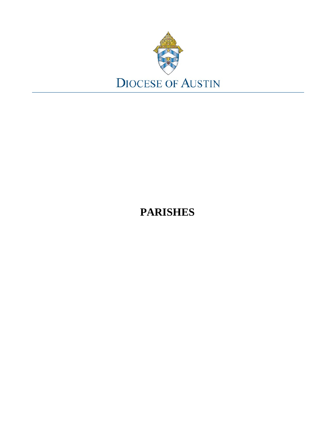

# **PARISHES**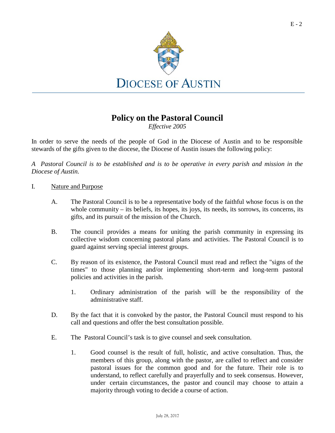

## **Policy on the Pastoral Council**

*Effective 2005*

In order to serve the needs of the people of God in the Diocese of Austin and to be responsible stewards of the gifts given to the diocese, the Diocese of Austin issues the following policy:

*A Pastoral Council is to be established and is to be operative in every parish and mission in the Diocese of Austin.*

#### I. Nature and Purpose

- A. The Pastoral Council is to be a representative body of the faithful whose focus is on the whole community – its beliefs, its hopes, its joys, its needs, its sorrows, its concerns, its gifts, and its pursuit of the mission of the Church.
- B. The council provides a means for uniting the parish community in expressing its collective wisdom concerning pastoral plans and activities. The Pastoral Council is to guard against serving special interest groups.
- C. By reason of its existence, the Pastoral Council must read and reflect the "signs of the times" to those planning and/or implementing short-term and long-term pastoral policies and activities in the parish.
	- 1. Ordinary administration of the parish will be the responsibility of the administrative staff.
- D. By the fact that it is convoked by the pastor, the Pastoral Council must respond to his call and questions and offer the best consultation possible.
- E. The Pastoral Council's task is to give counsel and seek consultation.
	- 1. Good counsel is the result of full, holistic, and active consultation. Thus, the members of this group, along with the pastor, are called to reflect and consider pastoral issues for the common good and for the future. Their role is to understand, to reflect carefully and prayerfully and to seek consensus. However, under certain circumstances, the pastor and council may choose to attain a majority through voting to decide a course of action.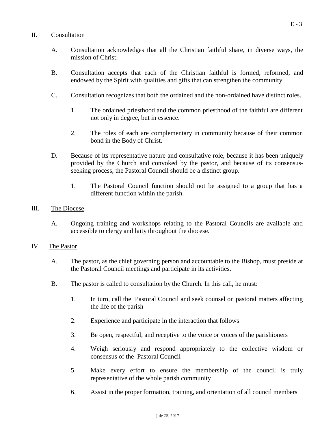#### II. Consultation

- A. Consultation acknowledges that all the Christian faithful share, in diverse ways, the mission of Christ.
- B. Consultation accepts that each of the Christian faithful is formed, reformed, and endowed by the Spirit with qualities and gifts that can strengthen the community.
- C. Consultation recognizes that both the ordained and the non-ordained have distinct roles.
	- 1. The ordained priesthood and the common priesthood of the faithful are different not only in degree, but in essence.
	- 2. The roles of each are complementary in community because of their common bond in the Body of Christ.
- D. Because of its representative nature and consultative role, because it has been uniquely provided by the Church and convoked by the pastor, and because of its consensusseeking process, the Pastoral Council should be a distinct group.
	- 1. The Pastoral Council function should not be assigned to a group that has a different function within the parish.

#### III. The Diocese

A. Ongoing training and workshops relating to the Pastoral Councils are available and accessible to clergy and laity throughout the diocese.

#### IV. The Pastor

- A. The pastor, as the chief governing person and accountable to the Bishop, must preside at the Pastoral Council meetings and participate in its activities.
- B. The pastor is called to consultation by the Church. In this call, he must:
	- 1. In turn, call the Pastoral Council and seek counsel on pastoral matters affecting the life of the parish
	- 2. Experience and participate in the interaction that follows
	- 3. Be open, respectful, and receptive to the voice or voices of the parishioners
	- 4. Weigh seriously and respond appropriately to the collective wisdom or consensus of the Pastoral Council
	- 5. Make every effort to ensure the membership of the council is truly representative of the whole parish community
	- 6. Assist in the proper formation, training, and orientation of all council members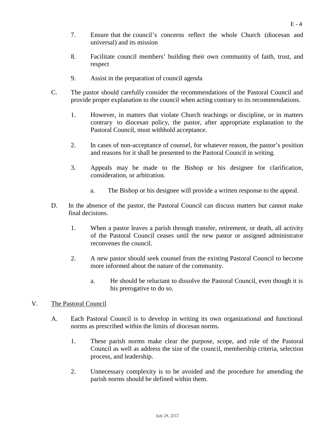- 7. Ensure that the council's concerns reflect the whole Church (diocesan and universal) and its mission
- 8. Facilitate council members' building their own community of faith, trust, and respect
- 9. Assist in the preparation of council agenda
- C. The pastor should carefully consider the recommendations of the Pastoral Council and provide proper explanation to the council when acting contrary to its recommendations.
	- 1. However, in matters that violate Church teachings or discipline, or in matters contrary to diocesan policy, the pastor, after appropriate explanation to the Pastoral Council, must withhold acceptance.
	- 2. In cases of non-acceptance of counsel, for whatever reason, the pastor's position and reasons for it shall be presented to the Pastoral Council in writing.
	- 3. Appeals may be made to the Bishop or his designee for clarification, consideration, or arbitration.
		- a. The Bishop or his designee will provide a written response to the appeal.
- D. In the absence of the pastor, the Pastoral Council can discuss matters but cannot make final decisions.
	- 1. When a pastor leaves a parish through transfer, retirement, or death, all activity of the Pastoral Council ceases until the new pastor or assigned administrator reconvenes the council.
	- 2. A new pastor should seek counsel from the existing Pastoral Council to become more informed about the nature of the community.
		- a. He should be reluctant to dissolve the Pastoral Council, even though it is his prerogative to do so.

#### V. The Pastoral Council

- A. Each Pastoral Council is to develop in writing its own organizational and functional norms as prescribed within the limits of diocesan norms.
	- 1. These parish norms make clear the purpose, scope, and role of the Pastoral Council as well as address the size of the council, membership criteria, selection process, and leadership.
	- 2. Unnecessary complexity is to be avoided and the procedure for amending the parish norms should be defined within them.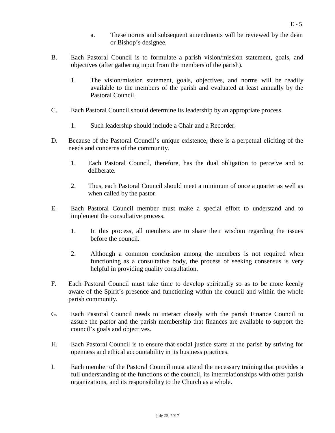- a. These norms and subsequent amendments will be reviewed by the dean or Bishop's designee.
- B. Each Pastoral Council is to formulate a parish vision/mission statement, goals, and objectives (after gathering input from the members of the parish).
	- 1. The vision/mission statement, goals, objectives, and norms will be readily available to the members of the parish and evaluated at least annually by the Pastoral Council.
- C. Each Pastoral Council should determine its leadership by an appropriate process.
	- 1. Such leadership should include a Chair and a Recorder.
- D. Because of the Pastoral Council's unique existence, there is a perpetual eliciting of the needs and concerns of the community.
	- 1. Each Pastoral Council, therefore, has the dual obligation to perceive and to deliberate.
	- 2. Thus, each Pastoral Council should meet a minimum of once a quarter as well as when called by the pastor.
- E. Each Pastoral Council member must make a special effort to understand and to implement the consultative process.
	- 1. In this process, all members are to share their wisdom regarding the issues before the council.
	- 2. Although a common conclusion among the members is not required when functioning as a consultative body, the process of seeking consensus is very helpful in providing quality consultation.
- F. Each Pastoral Council must take time to develop spiritually so as to be more keenly aware of the Spirit's presence and functioning within the council and within the whole parish community.
- G. Each Pastoral Council needs to interact closely with the parish Finance Council to assure the pastor and the parish membership that finances are available to support the council's goals and objectives.
- H. Each Pastoral Council is to ensure that social justice starts at the parish by striving for openness and ethical accountability in its business practices.
- I. Each member of the Pastoral Council must attend the necessary training that provides a full understanding of the functions of the council, its interrelationships with other parish organizations, and its responsibility to the Church as a whole.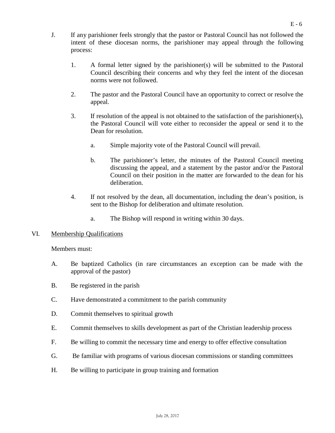- J. If any parishioner feels strongly that the pastor or Pastoral Council has not followed the intent of these diocesan norms, the parishioner may appeal through the following process:
	- 1. A formal letter signed by the parishioner(s) will be submitted to the Pastoral Council describing their concerns and why they feel the intent of the diocesan norms were not followed.
	- 2. The pastor and the Pastoral Council have an opportunity to correct or resolve the appeal.
	- 3. If resolution of the appeal is not obtained to the satisfaction of the parishioner(s), the Pastoral Council will vote either to reconsider the appeal or send it to the Dean for resolution.
		- a. Simple majority vote of the Pastoral Council will prevail.
		- b. The parishioner's letter, the minutes of the Pastoral Council meeting discussing the appeal, and a statement by the pastor and/or the Pastoral Council on their position in the matter are forwarded to the dean for his deliberation.
	- 4. If not resolved by the dean, all documentation, including the dean's position, is sent to the Bishop for deliberation and ultimate resolution.
		- a. The Bishop will respond in writing within 30 days.
- VI. Membership Qualifications

Members must:

- A. Be baptized Catholics (in rare circumstances an exception can be made with the approval of the pastor)
- B. Be registered in the parish
- C. Have demonstrated a commitment to the parish community
- D. Commit themselves to spiritual growth
- E. Commit themselves to skills development as part of the Christian leadership process
- F. Be willing to commit the necessary time and energy to offer effective consultation
- G. Be familiar with programs of various diocesan commissions or standing committees
- H. Be willing to participate in group training and formation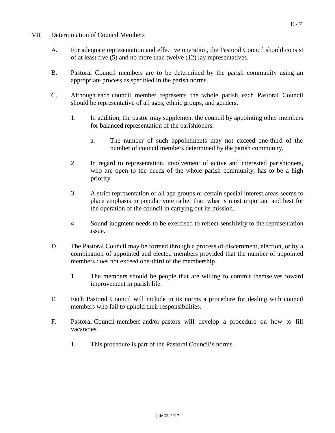#### VII. Determination of Council Members

- A. For adequate representation and effective operation, the Pastoral Council should consist of at least five (5) and no more than twelve (12) lay representatives.
- B. Pastoral Council members are to be determined by the parish community using an appropriate process as specified in the parish norms.
- C. Although each council member represents the whole parish, each Pastoral Council should be representative of all ages, ethnic groups, and genders.
	- 1. In addition, the pastor may supplement the council by appointing other members for balanced representation of the parishioners.
		- a. The number of such appointments may not exceed one-third of the number of council members determined by the parish community.
	- 2. In regard to representation, involvement of active and interested parishioners, who are open to the needs of the whole parish community, has to be a high priority.
	- 3. A strict representation of all age groups or certain special interest areas seems to place emphasis in popular vote rather than what is most important and best for the operation of the council in carrying out its mission.
	- 4. Sound judgment needs to be exercised to reflect sensitivity to the representation issue.
- D. The Pastoral Council may be formed through a process of discernment, election, or by a combination of appointed and elected members provided that the number of appointed members does not exceed one-third of the membership.
	- 1. The members should be people that are willing to commit themselves toward improvement in parish life.
- E. Each Pastoral Council will include in its norms a procedure for dealing with council members who fail to uphold their responsibilities.
- F. Pastoral Council members and/or pastors will develop a procedure on how to fill vacancies.
	- 1. This procedure is part of the Pastoral Council's norms.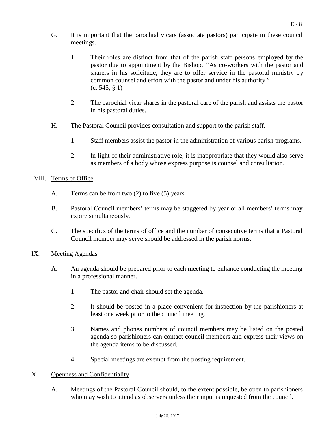- G. It is important that the parochial vicars (associate pastors) participate in these council meetings.
	- 1. Their roles are distinct from that of the parish staff persons employed by the pastor due to appointment by the Bishop. "As co-workers with the pastor and sharers in his solicitude, they are to offer service in the pastoral ministry by common counsel and effort with the pastor and under his authority." (c. 545, § 1)
	- 2. The parochial vicar shares in the pastoral care of the parish and assists the pastor in his pastoral duties.
- H. The Pastoral Council provides consultation and support to the parish staff.
	- 1. Staff members assist the pastor in the administration of various parish programs.
	- 2. In light of their administrative role, it is inappropriate that they would also serve as members of a body whose express purpose is counsel and consultation.

#### VIII. Terms of Office

- A. Terms can be from two (2) to five (5) years.
- B. Pastoral Council members' terms may be staggered by year or all members' terms may expire simultaneously.
- C. The specifics of the terms of office and the number of consecutive terms that a Pastoral Council member may serve should be addressed in the parish norms.
- IX. Meeting Agendas
	- A. An agenda should be prepared prior to each meeting to enhance conducting the meeting in a professional manner.
		- 1. The pastor and chair should set the agenda.
		- 2. It should be posted in a place convenient for inspection by the parishioners at least one week prior to the council meeting.
		- 3. Names and phones numbers of council members may be listed on the posted agenda so parishioners can contact council members and express their views on the agenda items to be discussed.
		- 4. Special meetings are exempt from the posting requirement.

#### X. Openness and Confidentiality

A. Meetings of the Pastoral Council should, to the extent possible, be open to parishioners who may wish to attend as observers unless their input is requested from the council.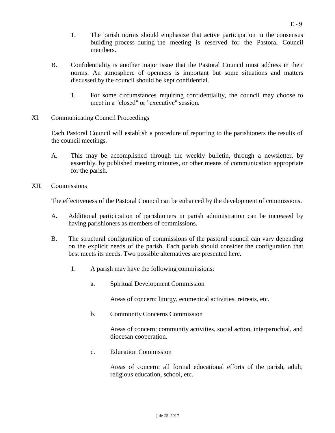- 1. The parish norms should emphasize that active participation in the consensus building process during the meeting is reserved for the Pastoral Council members.
- B. Confidentiality is another major issue that the Pastoral Council must address in their norms. An atmosphere of openness is important but some situations and matters discussed by the council should be kept confidential.
	- 1. For some circumstances requiring confidentiality, the council may choose to meet in a "closed" or "executive" session.

#### XI. Communicating Council Proceedings

Each Pastoral Council will establish a procedure of reporting to the parishioners the results of the council meetings.

- A. This may be accomplished through the weekly bulletin, through a newsletter, by assembly, by published meeting minutes, or other means of communication appropriate for the parish.
- XII. Commissions

The effectiveness of the Pastoral Council can be enhanced by the development of commissions.

- A. Additional participation of parishioners in parish administration can be increased by having parishioners as members of commissions.
- B. The structural configuration of commissions of the pastoral council can vary depending on the explicit needs of the parish. Each parish should consider the configuration that best meets its needs. Two possible alternatives are presented here.
	- 1. A parish may have the following commissions:
		- a. Spiritual Development Commission

Areas of concern: liturgy, ecumenical activities, retreats, etc.

b. Community Concerns Commission

Areas of concern: community activities, social action, interparochial, and diocesan cooperation.

c. Education Commission

Areas of concern: all formal educational efforts of the parish, adult, religious education, school, etc.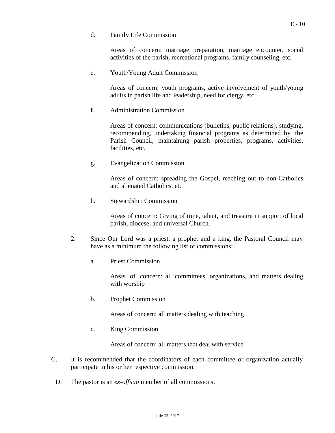Areas of concern: marriage preparation, marriage encounter, social activities of the parish, recreational programs, family counseling, etc.

e. Youth/Young Adult Commission

Areas of concern: youth programs, active involvement of youth/young adults in parish life and leadership, need for clergy, etc.

f. Administration Commission

Areas of concern: communications (bulletins, public relations), studying, recommending, undertaking financial programs as determined by the Parish Council, maintaining parish properties, programs, activities, facilities, etc.

g. Evangelization Commission

Areas of concern: spreading the Gospel, reaching out to non-Catholics and alienated Catholics, etc.

h. Stewardship Commission

Areas of concern: Giving of time, talent, and treasure in support of local parish, diocese, and universal Church.

- 2. Since Our Lord was a priest, a prophet and a king, the Pastoral Council may have as a minimum the following list of commissions:
	- a. Priest Commission

Areas of concern: all committees, organizations, and matters dealing with worship

b. Prophet Commission

Areas of concern: all matters dealing with teaching

c. King Commission

Areas of concern: all matters that deal with service

- C. It is recommended that the coordinators of each committee or organization actually participate in his or her respective commission.
	- D. The pastor is an *ex-officio* member of all commissions.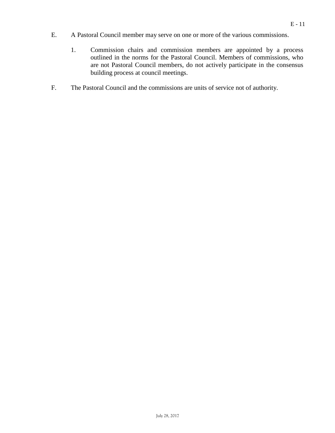- E. A Pastoral Council member may serve on one or more of the various commissions.
	- 1. Commission chairs and commission members are appointed by a process outlined in the norms for the Pastoral Council. Members of commissions, who are not Pastoral Council members, do not actively participate in the consensus building process at council meetings.
- F. The Pastoral Council and the commissions are units of service not of authority.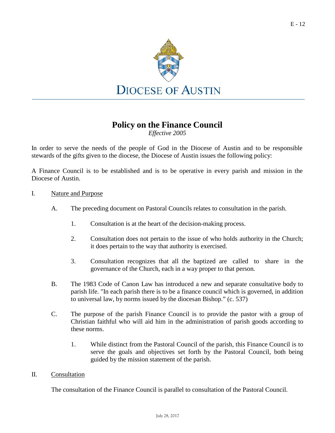

## **Policy on the Finance Council**

*Effective 2005*

In order to serve the needs of the people of God in the Diocese of Austin and to be responsible stewards of the gifts given to the diocese, the Diocese of Austin issues the following policy:

A Finance Council is to be established and is to be operative in every parish and mission in the Diocese of Austin.

#### I. Nature and Purpose

- A. The preceding document on Pastoral Councils relates to consultation in the parish.
	- 1. Consultation is at the heart of the decision-making process.
	- 2. Consultation does not pertain to the issue of who holds authority in the Church; it does pertain to the way that authority is exercised.
	- 3. Consultation recognizes that all the baptized are called to share in the governance of the Church, each in a way proper to that person.
- B. The 1983 Code of Canon Law has introduced a new and separate consultative body to parish life. "In each parish there is to be a finance council which is governed, in addition to universal law, by norms issued by the diocesan Bishop." (c. 537)
- C. The purpose of the parish Finance Council is to provide the pastor with a group of Christian faithful who will aid him in the administration of parish goods according to these norms.
	- 1. While distinct from the Pastoral Council of the parish, this Finance Council is to serve the goals and objectives set forth by the Pastoral Council, both being guided by the mission statement of the parish.

#### II. Consultation

The consultation of the Finance Council is parallel to consultation of the Pastoral Council.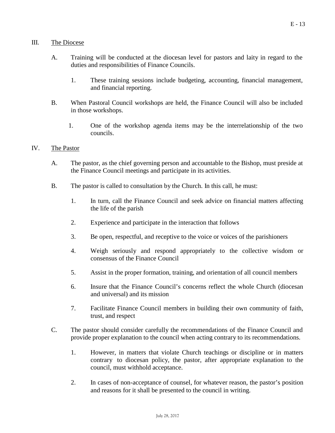#### III. The Diocese

- A. Training will be conducted at the diocesan level for pastors and laity in regard to the duties and responsibilities of Finance Councils.
	- 1. These training sessions include budgeting, accounting, financial management, and financial reporting.
- B. When Pastoral Council workshops are held, the Finance Council will also be included in those workshops.
	- 1. One of the workshop agenda items may be the interrelationship of the two councils.

#### IV. The Pastor

- A. The pastor, as the chief governing person and accountable to the Bishop, must preside at the Finance Council meetings and participate in its activities.
- B. The pastor is called to consultation by the Church. In this call, he must:
	- 1. In turn, call the Finance Council and seek advice on financial matters affecting the life of the parish
	- 2. Experience and participate in the interaction that follows
	- 3. Be open, respectful, and receptive to the voice or voices of the parishioners
	- 4. Weigh seriously and respond appropriately to the collective wisdom or consensus of the Finance Council
	- 5. Assist in the proper formation, training, and orientation of all council members
	- 6. Insure that the Finance Council's concerns reflect the whole Church (diocesan and universal) and its mission
	- 7. Facilitate Finance Council members in building their own community of faith, trust, and respect
- C. The pastor should consider carefully the recommendations of the Finance Council and provide proper explanation to the council when acting contrary to its recommendations.
	- 1. However, in matters that violate Church teachings or discipline or in matters contrary to diocesan policy, the pastor, after appropriate explanation to the council, must withhold acceptance.
	- 2. In cases of non-acceptance of counsel, for whatever reason, the pastor's position and reasons for it shall be presented to the council in writing.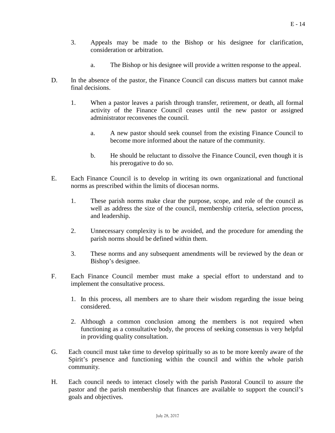- 3. Appeals may be made to the Bishop or his designee for clarification, consideration or arbitration.
	- a. The Bishop or his designee will provide a written response to the appeal.
- D. In the absence of the pastor, the Finance Council can discuss matters but cannot make final decisions.
	- 1. When a pastor leaves a parish through transfer, retirement, or death, all formal activity of the Finance Council ceases until the new pastor or assigned administrator reconvenes the council.
		- a. A new pastor should seek counsel from the existing Finance Council to become more informed about the nature of the community.
		- b. He should be reluctant to dissolve the Finance Council, even though it is his prerogative to do so.
- E. Each Finance Council is to develop in writing its own organizational and functional norms as prescribed within the limits of diocesan norms.
	- 1. These parish norms make clear the purpose, scope, and role of the council as well as address the size of the council, membership criteria, selection process, and leadership.
	- 2. Unnecessary complexity is to be avoided, and the procedure for amending the parish norms should be defined within them.
	- 3. These norms and any subsequent amendments will be reviewed by the dean or Bishop's designee.
- F. Each Finance Council member must make a special effort to understand and to implement the consultative process.
	- 1. In this process, all members are to share their wisdom regarding the issue being considered.
	- 2. Although a common conclusion among the members is not required when functioning as a consultative body, the process of seeking consensus is very helpful in providing quality consultation.
- G. Each council must take time to develop spiritually so as to be more keenly aware of the Spirit's presence and functioning within the council and within the whole parish community.
- H. Each council needs to interact closely with the parish Pastoral Council to assure the pastor and the parish membership that finances are available to support the council's goals and objectives.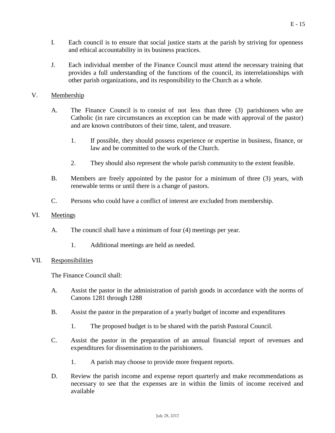- I. Each council is to ensure that social justice starts at the parish by striving for openness and ethical accountability in its business practices.
- J. Each individual member of the Finance Council must attend the necessary training that provides a full understanding of the functions of the council, its interrelationships with other parish organizations, and its responsibility to the Church as a whole.

#### V. Membership

- A. The Finance Council is to consist of not less than three (3) parishioners who are Catholic (in rare circumstances an exception can be made with approval of the pastor) and are known contributors of their time, talent, and treasure.
	- 1. If possible, they should possess experience or expertise in business, finance, or law and be committed to the work of the Church.
	- 2. They should also represent the whole parish community to the extent feasible.
- B. Members are freely appointed by the pastor for a minimum of three (3) years, with renewable terms or until there is a change of pastors.
- C. Persons who could have a conflict of interest are excluded from membership.

#### VI. Meetings

- A. The council shall have a minimum of four (4) meetings per year.
	- 1. Additional meetings are held as needed.

#### VII. Responsibilities

The Finance Council shall:

- A. Assist the pastor in the administration of parish goods in accordance with the norms of Canons 1281 through 1288
- B. Assist the pastor in the preparation of a yearly budget of income and expenditures
	- 1. The proposed budget is to be shared with the parish Pastoral Council.
- C. Assist the pastor in the preparation of an annual financial report of revenues and expenditures for dissemination to the parishioners.
	- 1. A parish may choose to provide more frequent reports.
- D. Review the parish income and expense report quarterly and make recommendations as necessary to see that the expenses are in within the limits of income received and available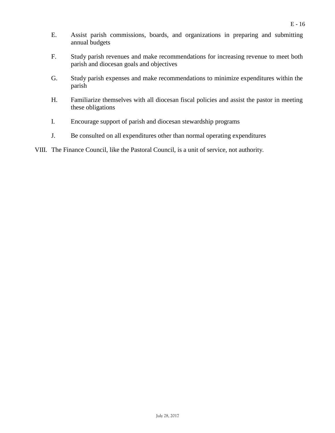- E. Assist parish commissions, boards, and organizations in preparing and submitting annual budgets
- F. Study parish revenues and make recommendations for increasing revenue to meet both parish and diocesan goals and objectives
- G. Study parish expenses and make recommendations to minimize expenditures within the parish
- H. Familiarize themselves with all diocesan fiscal policies and assist the pastor in meeting these obligations
- I. Encourage support of parish and diocesan stewardship programs
- J. Be consulted on all expenditures other than normal operating expenditures
- VIII. The Finance Council, like the Pastoral Council, is a unit of service, not authority.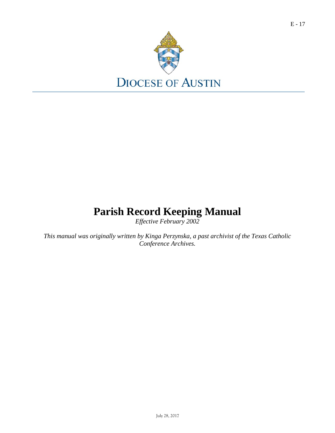

# **Parish Record Keeping Manual**

*Effective February 2002*

*This manual was originally written by Kinga Perzynska, a past archivist of the Texas Catholic Conference Archives.*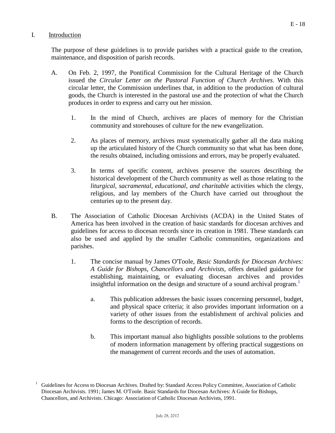#### I. Introduction

The purpose of these guidelines is to provide parishes with a practical guide to the creation, maintenance, and disposition of parish records.

- A. On Feb. 2, 1997, the Pontifical Commission for the Cultural Heritage of the Church issued the *Circular Letter on the Pastoral Function of Church Archives*. With this circular letter, the Commission underlines that, in addition to the production of cultural goods, the Church is interested in the pastoral use and the protection of what the Church produces in order to express and carry out her mission.
	- 1. In the mind of Church, archives are places of memory for the Christian community and storehouses of culture for the new evangelization.
	- 2. As places of memory, archives must systematically gather all the data making up the articulated history of the Church community so that what has been done, the results obtained, including omissions and errors, may be properly evaluated.
	- 3. In terms of specific content, archives preserve the sources describing the historical development of the Church community as well as those relating to the *liturgical, sacramental, educational, and charitable* activities which the clergy, religious, and lay members of the Church have carried out throughout the centuries up to the present day.
- B. The Association of Catholic Diocesan Archivists (ACDA) in the United States of America has been involved in the creation of basic standards for diocesan archives and guidelines for access to diocesan records since its creation in 1981. These standards can also be used and applied by the smaller Catholic communities, organizations and parishes.
	- 1. The concise manual by James O'Toole, *Basic Standards for Diocesan Archives: A Guide for Bishops, Chancellors and Archivists*, offers detailed guidance for establishing, maintaining, or evaluating diocesan archives and provides insightful information on the design and structure of a sound archival progr[am.](#page-17-0)<sup>[1](#page-17-0)</sup>
		- a. This publication addresses the basic issues concerning personnel, budget, and physical space criteria; it also provides important information on a variety of other issues from the establishment of archival policies and forms to the description of records.
		- b. This important manual also highlights possible solutions to the problems of modern information management by offering practical suggestions on the management of current records and the uses of automation.

<span id="page-17-0"></span><sup>&</sup>lt;sup>1</sup> Guidelines for Access to Diocesan Archives. Drafted by: Standard Access Policy Committee, Association of Catholic Diocesan Archivists. 1991; James M. O'Toole. Basic Standards for Diocesan Archives: A Guide for Bishops, Chancellors, and Archivists. Chicago: Association of Catholic Diocesan Archivists, 1991.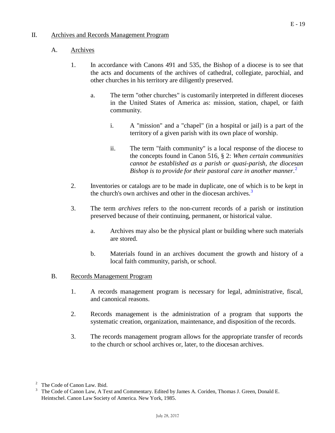#### II. Archives and Records Management Program

#### A. Archives

- 1. In accordance with Canons 491 and 535, the Bishop of a diocese is to see that the acts and documents of the archives of cathedral, collegiate, parochial, and other churches in his territory are diligently preserved.
	- a. The term "other churches" is customarily interpreted in different dioceses in the United States of America as: mission, station, chapel, or faith community.
		- i. A "mission" and a "chapel" (in a hospital or jail) is a part of the territory of a given parish with its own place of worship.
		- ii. The term "faith community" is a local response of the diocese to the concepts found in Canon 516, § 2: *When certain communities cannot be established as a parish or quasi-parish, the diocesan Bishop is to provide for their pastoral care in another manner*. [2](#page-18-0)
- 2. Inventories or catalogs are to be made in duplicate, one of which is to be kept in the church's own archives and other in the diocesan archives.<sup>[3](#page-18-1)</sup>
- 3. The term *archives* refers to the non-current records of a parish or institution preserved because of their continuing, permanent, or historical value.
	- a. Archives may also be the physical plant or building where such materials are stored.
	- b. Materials found in an archives document the growth and history of a local faith community, parish, or school.

#### B. Records Management Program

- 1. A records management program is necessary for legal, administrative, fiscal, and canonical reasons.
- 2. Records management is the administration of a program that supports the systematic creation, organization, maintenance, and disposition of the records.
- 3. The records management program allows for the appropriate transfer of records to the church or school archives or, later, to the diocesan archives.

<span id="page-18-0"></span> $2^{\circ}$  The Code of Canon Law. Ibid.

<span id="page-18-1"></span><sup>3</sup> The Code of Canon Law, A Text and Commentary. Edited by James A. Coriden, Thomas J. Green, Donald E. Heintschel. Canon Law Society of America. New York, 1985.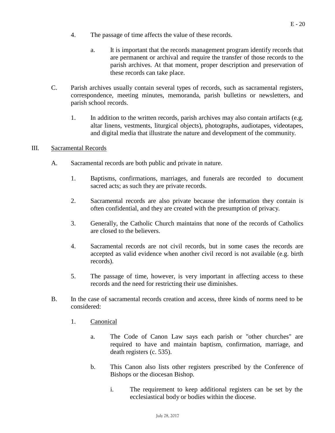- 4. The passage of time affects the value of these records.
	- a. It is important that the records management program identify records that are permanent or archival and require the transfer of those records to the parish archives. At that moment, proper description and preservation of these records can take place.
- C. Parish archives usually contain several types of records, such as sacramental registers, correspondence, meeting minutes, memoranda, parish bulletins or newsletters, and parish school records.
	- 1. In addition to the written records, parish archives may also contain artifacts (e.g. altar linens, vestments, liturgical objects), photographs, audiotapes, videotapes, and digital media that illustrate the nature and development of the community.

#### III. Sacramental Records

- A. Sacramental records are both public and private in nature.
	- 1. Baptisms, confirmations, marriages, and funerals are recorded to document sacred acts; as such they are private records.
	- 2. Sacramental records are also private because the information they contain is often confidential, and they are created with the presumption of privacy.
	- 3. Generally, the Catholic Church maintains that none of the records of Catholics are closed to the believers.
	- 4. Sacramental records are not civil records, but in some cases the records are accepted as valid evidence when another civil record is not available (e.g. birth records).
	- 5. The passage of time, however, is very important in affecting access to these records and the need for restricting their use diminishes.
- B. In the case of sacramental records creation and access, three kinds of norms need to be considered:
	- 1. Canonical
		- a. The Code of Canon Law says each parish or "other churches" are required to have and maintain baptism, confirmation, marriage, and death registers (c. 535).
		- b. This Canon also lists other registers prescribed by the Conference of Bishops or the diocesan Bishop.
			- i. The requirement to keep additional registers can be set by the ecclesiastical body or bodies within the diocese.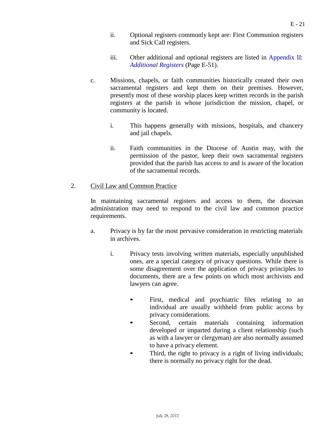- ii. Optional registers commonly kept are: First Communion registers and Sick Call registers.
- iii. Other additional and optional registers are listed in [Appendix](#page-50-0) II: *[Additional Registers](#page-50-0)* (Page E-51).
- c. Missions, chapels, or faith communities historically created their own sacramental registers and kept them on their premises. However, presently most of these worship places keep written records in the parish registers at the parish in whose jurisdiction the mission, chapel, or community is located.
	- i. This happens generally with missions, hospitals, and chancery and jail chapels.
	- ii. Faith communities in the Diocese of Austin may, with the permission of the pastor, keep their own sacramental registers provided that the parish has access to and is aware of the location of the sacramental records.

#### 2. Civil Law and Common Practice

In maintaining sacramental registers and access to them, the diocesan administration may need to respond to the civil law and common practice requirements.

- a. Privacy is by far the most pervasive consideration in restricting materials in archives.
	- i. Privacy tests involving written materials, especially unpublished ones, are a special category of privacy questions. While there is some disagreement over the application of privacy principles to documents, there are a few points on which most archivists and lawyers can agree.
		- First, medical and psychiatric files relating to an individual are usually withheld from public access by privacy considerations.
		- Second, certain materials containing information developed or imparted during a client relationship (such as with a lawyer or clergyman) are also normally assumed to have a privacy element.
		- Third, the right to privacy is a right of living individuals; there is normally no privacy right for the dead.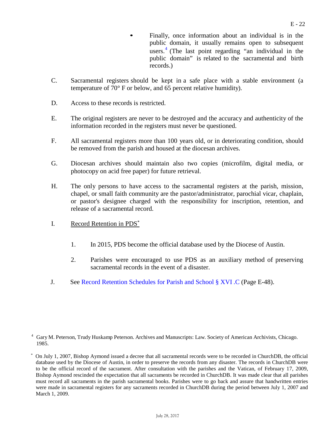- Finally, once information about an individual is in the public domain, it usually remains open to subsequent users. [4](#page-21-0) (The last point regarding "an individual in the public domain" is related to the sacramental and birth records.)
- C. Sacramental registers should be kept in a safe place with a stable environment (a temperature of 70° F or below, and 65 percent relative humidity).
- D. Access to these records is restricted.
- E. The original registers are never to be destroyed and the accuracy and authenticity of the information recorded in the registers must never be questioned.
- F. All sacramental registers more than 100 years old, or in deteriorating condition, should be removed from the parish and housed at the diocesan archives.
- G. Diocesan archives should maintain also two copies (microfilm, digital media, or photocopy on acid free paper) for future retrieval.
- H. The only persons to have access to the sacramental registers at the parish, mission, chapel, or small faith community are the pastor/administrator, parochial vicar, chaplain, or pastor's designee charged with the responsibility for inscription, retention, and release of a sacramental record.
- I. Record Retention in PDS\*
	- 1. In 2015, PDS become the official database used by the Diocese of Austin.
	- 2. Parishes were encouraged to use PDS as an auxiliary method of preserving sacramental records in the event of a disaster.
- J. See [Record Retention Schedules for](#page-47-0) Parish and School § XVI .C (Page E-48).

<span id="page-21-0"></span><sup>4</sup> Gary M. Peterson, Trudy Huskamp Peterson. Archives and Manuscripts: Law. Society of American Archivists, Chicago. 1985.

<sup>\*</sup> On July 1, 2007, Bishop Aymond issued a decree that all sacramental records were to be recorded in ChurchDB, the official database used by the Diocese of Austin, in order to preserve the records from any disaster. The records in ChurchDB were to be the official record of the sacrament. After consultation with the parishes and the Vatican, of February 17, 2009, Bishop Aymond rescinded the expectation that all sacraments be recorded in ChurchDB. It was made clear that all parishes must record all sacraments in the parish sacramental books. Parishes were to go back and assure that handwritten entries were made in sacramental registers for any sacraments recorded in ChurchDB during the period between July 1, 2007 and March 1, 2009.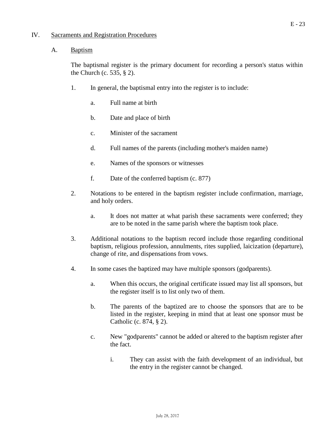#### IV. Sacraments and Registration Procedures

#### A. Baptism

The baptismal register is the primary document for recording a person's status within the Church (c. 535, § 2).

- 1. In general, the baptismal entry into the register is to include:
	- a. Full name at birth
	- b. Date and place of birth
	- c. Minister of the sacrament
	- d. Full names of the parents (including mother's maiden name)
	- e. Names of the sponsors or witnesses
	- f. Date of the conferred baptism (c. 877)
- 2. Notations to be entered in the baptism register include confirmation, marriage, and holy orders.
	- a. It does not matter at what parish these sacraments were conferred; they are to be noted in the same parish where the baptism took place.
- 3. Additional notations to the baptism record include those regarding conditional baptism, religious profession, annulments, rites supplied, laicization (departure), change of rite, and dispensations from vows.
- 4. In some cases the baptized may have multiple sponsors (godparents).
	- a. When this occurs, the original certificate issued may list all sponsors, but the register itself is to list only two of them.
	- b. The parents of the baptized are to choose the sponsors that are to be listed in the register, keeping in mind that at least one sponsor must be Catholic (c. 874, § 2).
	- c. New "godparents" cannot be added or altered to the baptism register after the fact.
		- i. They can assist with the faith development of an individual, but the entry in the register cannot be changed.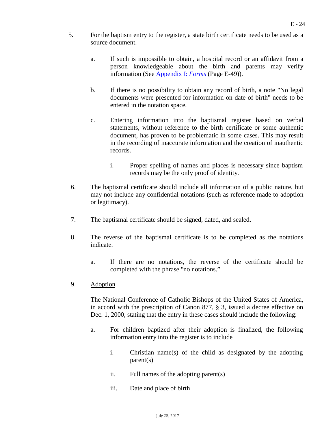- 5. For the baptism entry to the register, a state birth certificate needs to be used as a source document.
	- a. If such is impossible to obtain, a hospital record or an affidavit from a person knowledgeable about the birth and parents may verify information (See [Appendix](#page-48-0) I: *Forms* (Page E-49)).
	- b. If there is no possibility to obtain any record of birth, a note "No legal documents were presented for information on date of birth" needs to be entered in the notation space.
	- c. Entering information into the baptismal register based on verbal statements, without reference to the birth certificate or some authentic document, has proven to be problematic in some cases. This may result in the recording of inaccurate information and the creation of inauthentic records.
		- i. Proper spelling of names and places is necessary since baptism records may be the only proof of identity.
- 6. The baptismal certificate should include all information of a public nature, but may not include any confidential notations (such as reference made to adoption or legitimacy).
- 7. The baptismal certificate should be signed, dated, and sealed.
- 8. The reverse of the baptismal certificate is to be completed as the notations indicate.
	- a. If there are no notations, the reverse of the certificate should be completed with the phrase "no notations."
- 9. Adoption

The National Conference of Catholic Bishops of the United States of America, in accord with the prescription of Canon 877, § 3, issued a decree effective on Dec. 1, 2000, stating that the entry in these cases should include the following:

- a. For children baptized after their adoption is finalized, the following information entry into the register is to include
	- i. Christian name(s) of the child as designated by the adopting parent(s)
	- ii. Full names of the adopting parent(s)
	- iii. Date and place of birth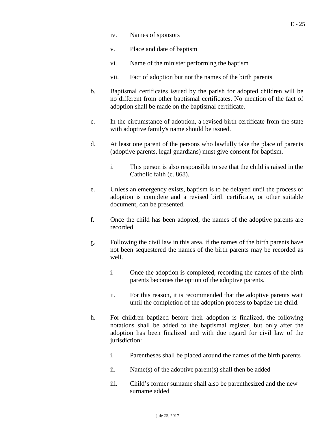- iv. Names of sponsors
- v. Place and date of baptism
- vi. Name of the minister performing the baptism
- vii. Fact of adoption but not the names of the birth parents
- b. Baptismal certificates issued by the parish for adopted children will be no different from other baptismal certificates. No mention of the fact of adoption shall be made on the baptismal certificate.
- c. In the circumstance of adoption, a revised birth certificate from the state with adoptive family's name should be issued.
- d. At least one parent of the persons who lawfully take the place of parents (adoptive parents, legal guardians) must give consent for baptism.
	- i. This person is also responsible to see that the child is raised in the Catholic faith (c. 868).
- e. Unless an emergency exists, baptism is to be delayed until the process of adoption is complete and a revised birth certificate, or other suitable document, can be presented.
- f. Once the child has been adopted, the names of the adoptive parents are recorded.
- g. Following the civil law in this area, if the names of the birth parents have not been sequestered the names of the birth parents may be recorded as well.
	- i. Once the adoption is completed, recording the names of the birth parents becomes the option of the adoptive parents.
	- ii. For this reason, it is recommended that the adoptive parents wait until the completion of the adoption process to baptize the child.
- h. For children baptized before their adoption is finalized, the following notations shall be added to the baptismal register, but only after the adoption has been finalized and with due regard for civil law of the jurisdiction:
	- i. Parentheses shall be placed around the names of the birth parents
	- ii. Name(s) of the adoptive parent(s) shall then be added
	- iii. Child's former surname shall also be parenthesized and the new surname added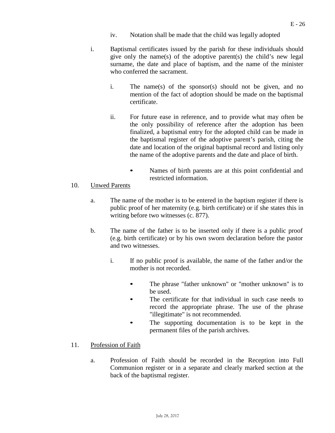- iv. Notation shall be made that the child was legally adopted
- i. Baptismal certificates issued by the parish for these individuals should give only the name(s) of the adoptive parent(s) the child's new legal surname, the date and place of baptism, and the name of the minister who conferred the sacrament.
	- i. The name(s) of the sponsor(s) should not be given, and no mention of the fact of adoption should be made on the baptismal certificate.
	- ii. For future ease in reference, and to provide what may often be the only possibility of reference after the adoption has been finalized, a baptismal entry for the adopted child can be made in the baptismal register of the adoptive parent's parish, citing the date and location of the original baptismal record and listing only the name of the adoptive parents and the date and place of birth.
		- Names of birth parents are at this point confidential and restricted information.

#### 10. Unwed Parents

- a. The name of the mother is to be entered in the baptism register if there is public proof of her maternity (e.g. birth certificate) or if she states this in writing before two witnesses (c. 877).
- b. The name of the father is to be inserted only if there is a public proof (e.g. birth certificate) or by his own sworn declaration before the pastor and two witnesses.
	- i. If no public proof is available, the name of the father and/or the mother is not recorded.
		- The phrase "father unknown" or "mother unknown" is to be used.
		- The certificate for that individual in such case needs to record the appropriate phrase. The use of the phrase "illegitimate" is not recommended.
		- The supporting documentation is to be kept in the permanent files of the parish archives.
- 11. Profession of Faith
	- a. Profession of Faith should be recorded in the Reception into Full Communion register or in a separate and clearly marked section at the back of the baptismal register.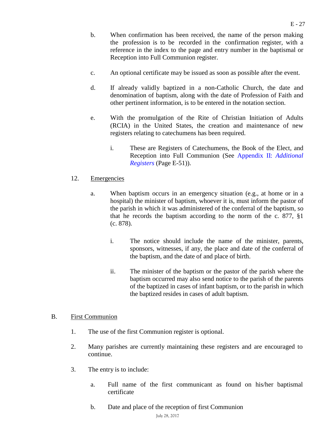- b. When confirmation has been received, the name of the person making the profession is to be recorded in the confirmation register, with a reference in the index to the page and entry number in the baptismal or Reception into Full Communion register.
- c. An optional certificate may be issued as soon as possible after the event.
- d. If already validly baptized in a non-Catholic Church, the date and denomination of baptism, along with the date of Profession of Faith and other pertinent information, is to be entered in the notation section.
- e. With the promulgation of the Rite of Christian Initiation of Adults (RCIA) in the United States, the creation and maintenance of new registers relating to catechumens has been required.
	- i. These are Registers of Catechumens, the Book of the Elect, and Reception into Full Communion (See Appendix II: *[Additional](#page-50-0) [Registers](#page-50-0)* (Page E-51)).

#### 12. Emergencies

- a. When baptism occurs in an emergency situation (e.g., at home or in a hospital) the minister of baptism, whoever it is, must inform the pastor of the parish in which it was administered of the conferral of the baptism, so that he records the baptism according to the norm of the c. 877, §1 (c. 878).
	- i. The notice should include the name of the minister, parents, sponsors, witnesses, if any, the place and date of the conferral of the baptism, and the date of and place of birth.
	- ii. The minister of the baptism or the pastor of the parish where the baptism occurred may also send notice to the parish of the parents of the baptized in cases of infant baptism, or to the parish in which the baptized resides in cases of adult baptism.

#### B. First Communion

- 1. The use of the first Communion register is optional.
- 2. Many parishes are currently maintaining these registers and are encouraged to continue.
- 3. The entry is to include:
	- a. Full name of the first communicant as found on his/her baptismal certificate
	- b. Date and place of the reception of first Communion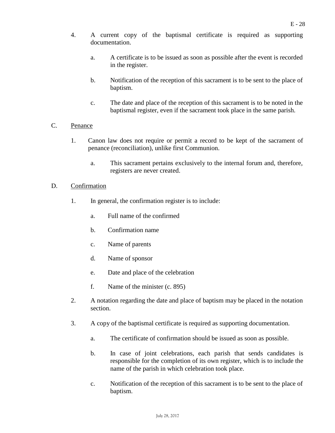- 4. A current copy of the baptismal certificate is required as supporting documentation.
	- a. A certificate is to be issued as soon as possible after the event is recorded in the register.
	- b. Notification of the reception of this sacrament is to be sent to the place of baptism.
	- c. The date and place of the reception of this sacrament is to be noted in the baptismal register, even if the sacrament took place in the same parish.

#### C. Penance

- 1. Canon law does not require or permit a record to be kept of the sacrament of penance (reconciliation), unlike first Communion.
	- a. This sacrament pertains exclusively to the internal forum and, therefore, registers are never created.

#### D. Confirmation

- 1. In general, the confirmation register is to include:
	- a. Full name of the confirmed
	- b. Confirmation name
	- c. Name of parents
	- d. Name of sponsor
	- e. Date and place of the celebration
	- f. Name of the minister (c. 895)
- 2. A notation regarding the date and place of baptism may be placed in the notation section.
- 3. A copy of the baptismal certificate is required as supporting documentation.
	- a. The certificate of confirmation should be issued as soon as possible.
	- b. In case of joint celebrations, each parish that sends candidates is responsible for the completion of its own register, which is to include the name of the parish in which celebration took place.
	- c. Notification of the reception of this sacrament is to be sent to the place of baptism.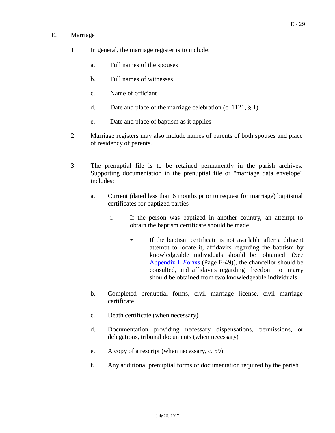#### E. Marriage

- 1. In general, the marriage register is to include:
	- a. Full names of the spouses
	- b. Full names of witnesses
	- c. Name of officiant
	- d. Date and place of the marriage celebration (c. 1121, § 1)
	- e. Date and place of baptism as it applies
- 2. Marriage registers may also include names of parents of both spouses and place of residency of parents.
- 3. The prenuptial file is to be retained permanently in the parish archives. Supporting documentation in the prenuptial file or "marriage data envelope" includes:
	- a. Current (dated less than 6 months prior to request for marriage) baptismal certificates for baptized parties
		- i. If the person was baptized in another country, an attempt to obtain the baptism certificate should be made
			- If the baptism certificate is not available after a diligent attempt to locate it, affidavits regarding the baptism by knowledgeable individuals should be obtained (See [Appendix](#page-48-0) I: *Forms* (Page E-49)), the chancellor should be consulted, and affidavits regarding freedom to marry should be obtained from two knowledgeable individuals
	- b. Completed prenuptial forms, civil marriage license, civil marriage certificate
	- c. Death certificate (when necessary)
	- d. Documentation providing necessary dispensations, permissions, or delegations, tribunal documents (when necessary)
	- e. A copy of a rescript (when necessary, c. 59)
	- f. Any additional prenuptial forms or documentation required by the parish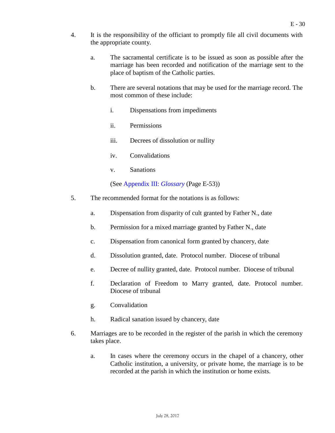- 4. It is the responsibility of the officiant to promptly file all civil documents with the appropriate county.
	- a. The sacramental certificate is to be issued as soon as possible after the marriage has been recorded and notification of the marriage sent to the place of baptism of the Catholic parties.
	- b. There are several notations that may be used for the marriage record. The most common of these include:
		- i. Dispensations from impediments
		- ii. Permissions
		- iii. Decrees of dissolution or nullity
		- iv. Convalidations
		- v. Sanations

(See [Appendix](#page-52-0) III: *Glossary* (Page E-53))

- 5. The recommended format for the notations is as follows:
	- a. Dispensation from disparity of cult granted by Father N., date
	- b. Permission for a mixed marriage granted by Father N., date
	- c. Dispensation from canonical form granted by chancery, date
	- d. Dissolution granted, date. Protocol number. Diocese of tribunal
	- e. Decree of nullity granted, date. Protocol number. Diocese of tribunal
	- f. Declaration of Freedom to Marry granted, date. Protocol number. Diocese of tribunal
	- g. Convalidation
	- h. Radical sanation issued by chancery, date
- 6. Marriages are to be recorded in the register of the parish in which the ceremony takes place.
	- a. In cases where the ceremony occurs in the chapel of a chancery, other Catholic institution, a university, or private home, the marriage is to be recorded at the parish in which the institution or home exists.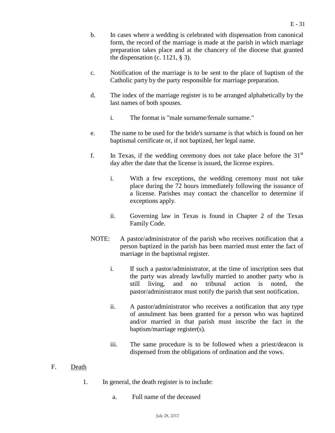- b. In cases where a wedding is celebrated with dispensation from canonical form, the record of the marriage is made at the parish in which marriage preparation takes place and at the chancery of the diocese that granted the dispensation (c. 1121,  $\S$  3).
- c. Notification of the marriage is to be sent to the place of baptism of the Catholic party by the party responsible for marriage preparation.
- d. The index of the marriage register is to be arranged alphabetically by the last names of both spouses.
	- i. The format is "male surname/female surname."
- e. The name to be used for the bride's surname is that which is found on her baptismal certificate or, if not baptized, her legal name.
- f. In Texas, if the wedding ceremony does not take place before the  $31<sup>st</sup>$ day after the date that the license is issued, the license expires.
	- i. With a few exceptions, the wedding ceremony must not take place during the 72 hours immediately following the issuance of a license. Parishes may contact the chancellor to determine if exceptions apply.
	- ii. Governing law in Texas is found in Chapter 2 of the Texas Family Code.
- NOTE: A pastor/administrator of the parish who receives notification that a person baptized in the parish has been married must enter the fact of marriage in the baptismal register.
	- i. If such a pastor/administrator, at the time of inscription sees that the party was already lawfully married to another party who is still living, and no tribunal action is noted, the pastor/administrator must notify the parish that sent notification.
	- ii. A pastor/administrator who receives a notification that any type of annulment has been granted for a person who was baptized and/or married in that parish must inscribe the fact in the baptism/marriage register(s).
	- iii. The same procedure is to be followed when a priest/deacon is dispensed from the obligations of ordination and the vows.
- F. Death
	- 1. In general, the death register is to include:
		- a. Full name of the deceased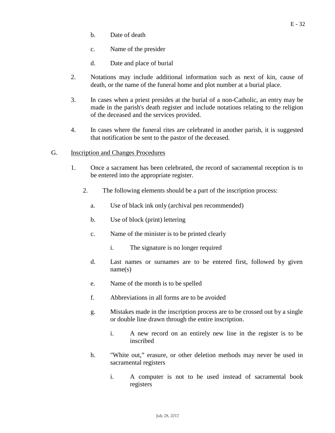- b. Date of death
- c. Name of the presider
- d. Date and place of burial
- 2. Notations may include additional information such as next of kin, cause of death, or the name of the funeral home and plot number at a burial place.
- 3. In cases when a priest presides at the burial of a non-Catholic, an entry may be made in the parish's death register and include notations relating to the religion of the deceased and the services provided.
- 4. In cases where the funeral rites are celebrated in another parish, it is suggested that notification be sent to the pastor of the deceased.
- G. Inscription and Changes Procedures
	- 1. Once a sacrament has been celebrated, the record of sacramental reception is to be entered into the appropriate register.
		- 2. The following elements should be a part of the inscription process:
			- a. Use of black ink only (archival pen recommended)
			- b. Use of block (print) lettering
			- c. Name of the minister is to be printed clearly
				- i. The signature is no longer required
			- d. Last names or surnames are to be entered first, followed by given name(s)
			- e. Name of the month is to be spelled
			- f. Abbreviations in all forms are to be avoided
			- g. Mistakes made in the inscription process are to be crossed out by a single or double line drawn through the entire inscription.
				- i. A new record on an entirely new line in the register is to be inscribed
			- h. "White out," erasure, or other deletion methods may never be used in sacramental registers
				- i. A computer is not to be used instead of sacramental book registers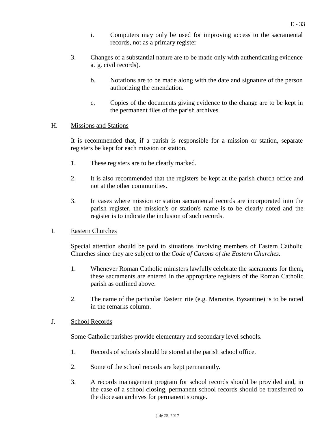- i. Computers may only be used for improving access to the sacramental records, not as a primary register
- 3. Changes of a substantial nature are to be made only with authenticating evidence a. g. civil records).
	- b. Notations are to be made along with the date and signature of the person authorizing the emendation.
	- c. Copies of the documents giving evidence to the change are to be kept in the permanent files of the parish archives.

#### H. Missions and Stations

It is recommended that, if a parish is responsible for a mission or station, separate registers be kept for each mission or station.

- 1. These registers are to be clearly marked.
- 2. It is also recommended that the registers be kept at the parish church office and not at the other communities.
- 3. In cases where mission or station sacramental records are incorporated into the parish register, the mission's or station's name is to be clearly noted and the register is to indicate the inclusion of such records.

#### I. Eastern Churches

Special attention should be paid to situations involving members of Eastern Catholic Churches since they are subject to the *Code of Canons of the Eastern Churches*.

- 1. Whenever Roman Catholic ministers lawfully celebrate the sacraments for them, these sacraments are entered in the appropriate registers of the Roman Catholic parish as outlined above.
- 2. The name of the particular Eastern rite (e.g. Maronite, Byzantine) is to be noted in the remarks column.

#### J. School Records

Some Catholic parishes provide elementary and secondary level schools.

- 1. Records of schools should be stored at the parish school office.
- 2. Some of the school records are kept permanently.
- 3. A records management program for school records should be provided and, in the case of a school closing, permanent school records should be transferred to the diocesan archives for permanent storage.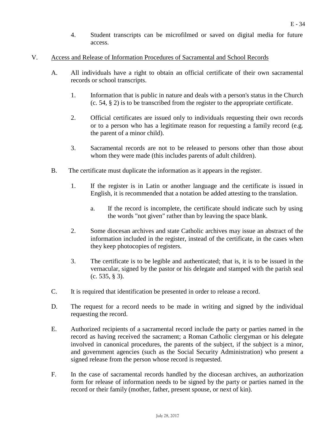- 4. Student transcripts can be microfilmed or saved on digital media for future access.
- V. Access and Release of Information Procedures of Sacramental and School Records
	- A. All individuals have a right to obtain an official certificate of their own sacramental records or school transcripts.
		- 1. Information that is public in nature and deals with a person's status in the Church (c. 54, § 2) is to be transcribed from the register to the appropriate certificate.
		- 2. Official certificates are issued only to individuals requesting their own records or to a person who has a legitimate reason for requesting a family record (e.g. the parent of a minor child).
		- 3. Sacramental records are not to be released to persons other than those about whom they were made (this includes parents of adult children).
	- B. The certificate must duplicate the information as it appears in the register.
		- 1. If the register is in Latin or another language and the certificate is issued in English, it is recommended that a notation be added attesting to the translation.
			- a. If the record is incomplete, the certificate should indicate such by using the words "not given" rather than by leaving the space blank.
		- 2. Some diocesan archives and state Catholic archives may issue an abstract of the information included in the register, instead of the certificate, in the cases when they keep photocopies of registers.
		- 3. The certificate is to be legible and authenticated; that is, it is to be issued in the vernacular, signed by the pastor or his delegate and stamped with the parish seal (c. 535, § 3).
	- C. It is required that identification be presented in order to release a record.
	- D. The request for a record needs to be made in writing and signed by the individual requesting the record.
	- E. Authorized recipients of a sacramental record include the party or parties named in the record as having received the sacrament; a Roman Catholic clergyman or his delegate involved in canonical procedures, the parents of the subject, if the subject is a minor, and government agencies (such as the Social Security Administration) who present a signed release from the person whose record is requested.
	- F. In the case of sacramental records handled by the diocesan archives, an authorization form for release of information needs to be signed by the party or parties named in the record or their family (mother, father, present spouse, or next of kin).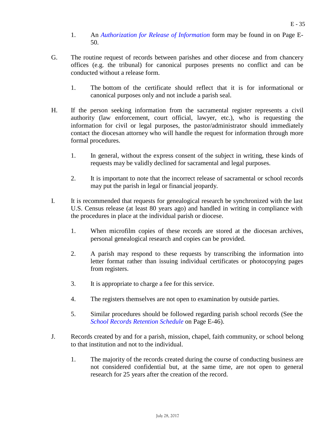- 1. An *[Authorization](#page-49-0) for Release of Information* form may be found in on Page E-50.
- G. The routine request of records between parishes and other diocese and from chancery offices (e.g. the tribunal) for canonical purposes presents no conflict and can be conducted without a release form.
	- 1. The bottom of the certificate should reflect that it is for informational or canonical purposes only and not include a parish seal.
- H. If the person seeking information from the sacramental register represents a civil authority (law enforcement, court official, lawyer, etc.), who is requesting the information for civil or legal purposes, the pastor/administrator should immediately contact the diocesan attorney who will handle the request for information through more formal procedures.
	- 1. In general, without the express consent of the subject in writing, these kinds of requests may be validly declined for sacramental and legal purposes.
	- 2. It is important to note that the incorrect release of sacramental or school records may put the parish in legal or financial jeopardy.
- I. It is recommended that requests for genealogical research be synchronized with the last U.S. Census release (at least 80 years ago) and handled in writing in compliance with the procedures in place at the individual parish or diocese.
	- 1. When microfilm copies of these records are stored at the diocesan archives, personal genealogical research and copies can be provided.
	- 2. A parish may respond to these requests by transcribing the information into letter format rather than issuing individual certificates or photocopying pages from registers.
	- 3. It is appropriate to charge a fee for this service.
	- 4. The registers themselves are not open to examination by outside parties.
	- 5. Similar procedures should be followed regarding parish school records (See the *[School Records Retention Schedule](#page-45-0)* on Page E-46).
- J. Records created by and for a parish, mission, chapel, faith community, or school belong to that institution and not to the individual.
	- 1. The majority of the records created during the course of conducting business are not considered confidential but, at the same time, are not open to general research for 25 years after the creation of the record.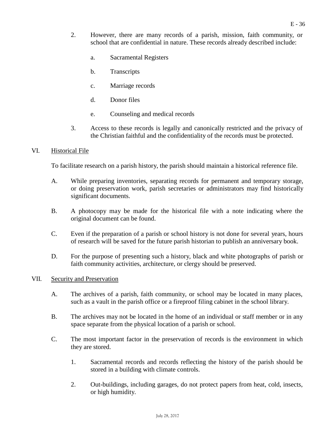- 2. However, there are many records of a parish, mission, faith community, or school that are confidential in nature. These records already described include:
	- a. Sacramental Registers
	- b. Transcripts
	- c. Marriage records
	- d. Donor files
	- e. Counseling and medical records
- 3. Access to these records is legally and canonically restricted and the privacy of the Christian faithful and the confidentiality of the records must be protected.

#### VI. Historical File

To facilitate research on a parish history, the parish should maintain a historical reference file.

- A. While preparing inventories, separating records for permanent and temporary storage, or doing preservation work, parish secretaries or administrators may find historically significant documents.
- B. A photocopy may be made for the historical file with a note indicating where the original document can be found.
- C. Even if the preparation of a parish or school history is not done for several years, hours of research will be saved for the future parish historian to publish an anniversary book.
- D. For the purpose of presenting such a history, black and white photographs of parish or faith community activities, architecture, or clergy should be preserved.

#### VII. Security and Preservation

- A. The archives of a parish, faith community, or school may be located in many places, such as a vault in the parish office or a fireproof filing cabinet in the school library.
- B. The archives may not be located in the home of an individual or staff member or in any space separate from the physical location of a parish or school.
- C. The most important factor in the preservation of records is the environment in which they are stored.
	- 1. Sacramental records and records reflecting the history of the parish should be stored in a building with climate controls.
	- 2. Out-buildings, including garages, do not protect papers from heat, cold, insects, or high humidity.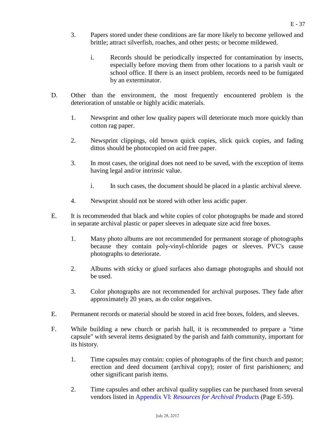- 3. Papers stored under these conditions are far more likely to become yellowed and brittle; attract silverfish, roaches, and other pests; or become mildewed.
	- i. Records should be periodically inspected for contamination by insects, especially before moving them from other locations to a parish vault or school office. If there is an insect problem, records need to be fumigated by an exterminator.
- D. Other than the environment, the most frequently encountered problem is the deterioration of unstable or highly acidic materials.
	- 1. Newsprint and other low quality papers will deteriorate much more quickly than cotton rag paper.
	- 2. Newsprint clippings, old brown quick copies, slick quick copies, and fading dittos should be photocopied on acid free paper.
	- 3. In most cases, the original does not need to be saved, with the exception of items having legal and/or intrinsic value.
		- i. In such cases, the document should be placed in a plastic archival sleeve.
	- 4. Newsprint should not be stored with other less acidic paper.
- E. It is recommended that black and white copies of color photographs be made and stored in separate archival plastic or paper sleeves in adequate size acid free boxes.
	- 1. Many photo albums are not recommended for permanent storage of photographs because they contain poly-vinyl-chloride pages or sleeves. PVC's cause photographs to deteriorate.
	- 2. Albums with sticky or glued surfaces also damage photographs and should not be used.
	- 3. Color photographs are not recommended for archival purposes. They fade after approximately 20 years, as do color negatives.
- E. Permanent records or material should be stored in acid free boxes, folders, and sleeves.
- F. While building a new church or parish hall, it is recommended to prepare a "time capsule" with several items designated by the parish and faith community, important for its history.
	- 1. Time capsules may contain: copies of photographs of the first church and pastor; erection and deed document (archival copy); roster of first parishioners; and other significant parish items.
	- 2. Time capsules and other archival quality supplies can be purchased from several vendors listed in Appendix VI: *[Resources for Archival Products](#page-58-0)* (Page E-59).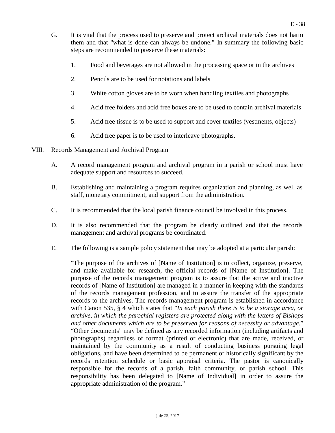- G. It is vital that the process used to preserve and protect archival materials does not harm them and that "what is done can always be undone." In summary the following basic steps are recommended to preserve these materials:
	- 1. Food and beverages are not allowed in the processing space or in the archives
	- 2. Pencils are to be used for notations and labels
	- 3. White cotton gloves are to be worn when handling textiles and photographs
	- 4. Acid free folders and acid free boxes are to be used to contain archival materials
	- 5. Acid free tissue is to be used to support and cover textiles (vestments, objects)
	- 6. Acid free paper is to be used to interleave photographs.

#### VIII. Records Management and Archival Program

- A. A record management program and archival program in a parish or school must have adequate support and resources to succeed.
- B. Establishing and maintaining a program requires organization and planning, as well as staff, monetary commitment, and support from the administration.
- C. It is recommended that the local parish finance council be involved in this process.
- D. It is also recommended that the program be clearly outlined and that the records management and archival programs be coordinated.
- E. The following is a sample policy statement that may be adopted at a particular parish:

"The purpose of the archives of [Name of Institution] is to collect, organize, preserve, and make available for research, the official records of [Name of Institution]. The purpose of the records management program is to assure that the active and inactive records of [Name of Institution] are managed in a manner in keeping with the standards of the records management profession, and to assure the transfer of the appropriate records to the archives. The records management program is established in accordance with Canon 535, § 4 which states that *"In each parish there is to be a storage area, or archive, in which the parochial registers are protected along with the letters of Bishops and other documents which are to be preserved for reasons of necessity or advantage*." "Other documents" may be defined as any recorded information (including artifacts and photographs) regardless of format (printed or electronic) that are made, received, or maintained by the community as a result of conducting business pursuing legal obligations, and have been determined to be permanent or historically significant by the records retention schedule or basic appraisal criteria. The pastor is canonically responsible for the records of a parish, faith community, or parish school. This responsibility has been delegated to [Name of Individual] in order to assure the appropriate administration of the program."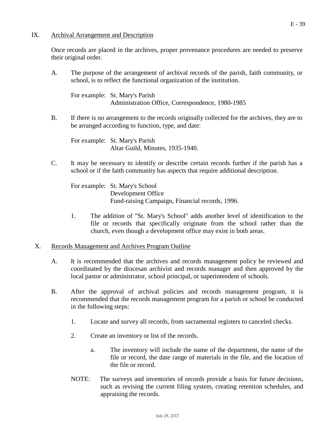#### IX. Archival Arrangement and Description

Once records are placed in the archives, proper provenance procedures are needed to preserve their original order.

A. The purpose of the arrangement of archival records of the parish, faith community, or school, is to reflect the functional organization of the institution.

For example: St. Mary's Parish Administration Office, Correspondence, 1980-1985

B. If there is no arrangement to the records originally collected for the archives, they are to be arranged according to function, type, and date:

For example: St. Mary's Parish Altar Guild, Minutes, 1935-1940.

C. It may be necessary to identify or describe certain records further if the parish has a school or if the faith community has aspects that require additional description.

For example: St. Mary's School Development Office Fund-raising Campaign, Financial records, 1996.

1. The addition of "St. Mary's School" adds another level of identification to the file or records that specifically originate from the school rather than the church, even though a development office may exist in both areas.

#### X. Records Management and Archives Program Outline

- A. It is recommended that the archives and records management policy be reviewed and coordinated by the diocesan archivist and records manager and then approved by the local pastor or administrator, school principal, or superintendent of schools.
- B. After the approval of archival policies and records management program, it is recommended that the records management program for a parish or school be conducted in the following steps:
	- 1. Locate and survey all records, from sacramental registers to canceled checks.
	- 2. Create an inventory or list of the records.
		- a. The inventory will include the name of the department, the name of the file or record, the date range of materials in the file, and the location of the file or record.
	- NOTE: The surveys and inventories of records provide a basis for future decisions, such as revising the current filing system, creating retention schedules, and appraising the records.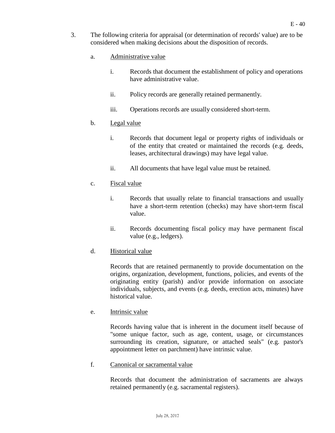- 3. The following criteria for appraisal (or determination of records' value) are to be considered when making decisions about the disposition of records.
	- a. Administrative value
		- i. Records that document the establishment of policy and operations have administrative value.
		- ii. Policy records are generally retained permanently.
		- iii. Operations records are usually considered short-term.

#### b. Legal value

- i. Records that document legal or property rights of individuals or of the entity that created or maintained the records (e.g. deeds, leases, architectural drawings) may have legal value.
- ii. All documents that have legal value must be retained.

#### c. Fiscal value

- i. Records that usually relate to financial transactions and usually have a short-term retention (checks) may have short-term fiscal value.
- ii. Records documenting fiscal policy may have permanent fiscal value (e.g., ledgers).

#### d. Historical value

Records that are retained permanently to provide documentation on the origins, organization, development, functions, policies, and events of the originating entity (parish) and/or provide information on associate individuals, subjects, and events (e.g. deeds, erection acts, minutes) have historical value.

#### e. Intrinsic value

Records having value that is inherent in the document itself because of "some unique factor, such as age, content, usage, or circumstances surrounding its creation, signature, or attached seals" (e.g. pastor's appointment letter on parchment) have intrinsic value.

#### f. Canonical or sacramental value

Records that document the administration of sacraments are always retained permanently (e.g. sacramental registers).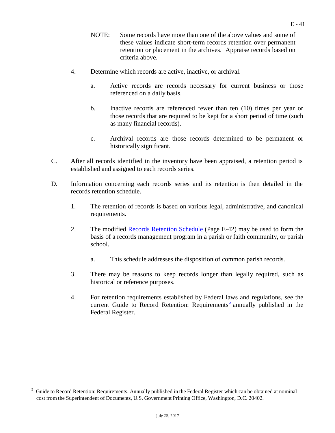- NOTE: Some records have more than one of the above values and some of these values indicate short-term records retention over permanent retention or placement in the archives. Appraise records based on criteria above.
- 4. Determine which records are active, inactive, or archival.
	- a. Active records are records necessary for current business or those referenced on a daily basis.
	- b. Inactive records are referenced fewer than ten (10) times per year or those records that are required to be kept for a short period of time (such as many financial records).
	- c. Archival records are those records determined to be permanent or historically significant.
- C. After all records identified in the inventory have been appraised, a retention period is established and assigned to each records series.
- D. Information concerning each records series and its retention is then detailed in the records retention schedule.
	- 1. The retention of records is based on various legal, administrative, and canonical requirements.
	- 2. The modified Records [Retention](#page-41-0) Schedule (Page E-42) may be used to form the basis of a records management program in a parish or faith community, or parish school.
		- a. This schedule addresses the disposition of common parish records.
	- 3. There may be reasons to keep records longer than legally required, such as historical or reference purposes.
	- 4. For retention requirements established by Federal laws and regulations, see the current Guide to Record Retention: Requirements<sup>[5](#page-40-0)</sup> annually published in the Federal Register.

<span id="page-40-0"></span><sup>5</sup> Guide to Record Retention: Requirements. Annually published in the Federal Register which can be obtained at nominal cost from the Superintendent of Documents, U.S. Government Printing Office, Washington, D.C. 20402.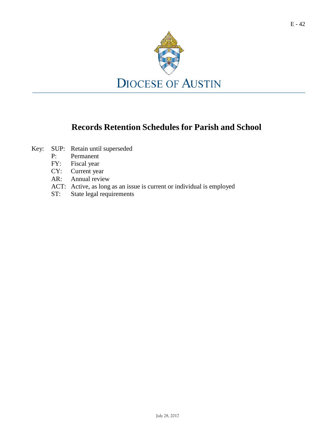

## **Records Retention Schedules for Parish and School**

- <span id="page-41-6"></span><span id="page-41-5"></span><span id="page-41-4"></span><span id="page-41-3"></span><span id="page-41-2"></span><span id="page-41-1"></span><span id="page-41-0"></span>Key: SUP: Retain until superseded
	- P: Permanent
	- FY: Fiscal year
	- CY: Current year<br>AR: Annual revie
	- Annual review
	- ACT: Active, as long as an issue is current or individual is employed
	- ST: State legal requirements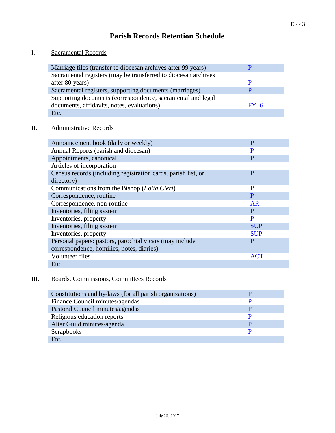### **Parish Records Retention Schedule**

### I. Sacramental Records

I

| Marriage files (transfer to diocesan archives after 99 years)  |        |
|----------------------------------------------------------------|--------|
| Sacramental registers (may be transferred to diocesan archives |        |
| after 80 years)                                                |        |
| Sacramental registers, supporting documents (marriages)        |        |
| Supporting documents (correspondence, sacramental and legal    |        |
| documents, affidavits, notes, evaluations)                     | $FY+6$ |
| Etc.                                                           |        |

### II. Administrative Records

| Announcement book (daily or weekly)                           | P          |
|---------------------------------------------------------------|------------|
| Annual Reports (parish and diocesan)                          | P          |
| Appointments, canonical                                       | P          |
| Articles of incorporation                                     |            |
| Census records (including registration cards, parish list, or | P          |
| directory)                                                    |            |
| Communications from the Bishop ( <i>Folia Cleri</i> )         | P          |
| Correspondence, routine                                       | P          |
| Correspondence, non-routine                                   | AR         |
| Inventories, filing system                                    | P          |
| Inventories, property                                         | P          |
| Inventories, filing system                                    | <b>SUP</b> |
| Inventories, property                                         | <b>SUP</b> |
| Personal papers: pastors, parochial vicars (may include       | P          |
| correspondence, homilies, notes, diaries)                     |            |
| Volunteer files                                               | ACT        |
| Etc                                                           |            |

### III. Boards, Commissions, Committees Records

| Constitutions and by-laws (for all parish organizations) |  |
|----------------------------------------------------------|--|
| Finance Council minutes/agendas                          |  |
| Pastoral Council minutes/agendas                         |  |
| Religious education reports                              |  |
| Altar Guild minutes/agenda                               |  |
| Scrapbooks                                               |  |
| Etc.                                                     |  |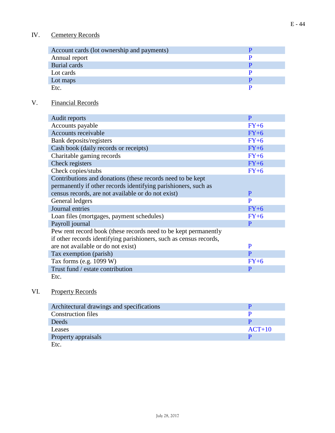| Account cards (lot ownership and payments) |  |
|--------------------------------------------|--|
| Annual report                              |  |
| Burial cards                               |  |
| Lot cards                                  |  |
| Lot maps                                   |  |
| Etc.                                       |  |

### V. Financial Records

| Audit reports                                                      | P      |
|--------------------------------------------------------------------|--------|
| Accounts payable                                                   | $FY+6$ |
| Accounts receivable                                                | $FY+6$ |
| Bank deposits/registers                                            | $FY+6$ |
| Cash book (daily records or receipts)                              | $FY+6$ |
| Charitable gaming records                                          | $FY+6$ |
| Check registers                                                    | $FY+6$ |
| Check copies/stubs                                                 | $FY+6$ |
| Contributions and donations (these records need to be kept)        |        |
| permanently if other records identifying parishioners, such as     |        |
| census records, are not available or do not exist)                 | P      |
| General ledgers                                                    | P      |
| Journal entries                                                    | $FY+6$ |
| Loan files (mortgages, payment schedules)                          | $FY+6$ |
| Payroll journal                                                    | P      |
| Pew rent record book (these records need to be kept permanently    |        |
| if other records identifying parishioners, such as census records, |        |
| are not available or do not exist)                                 | P      |
| Tax exemption (parish)                                             | P      |
| Tax forms (e.g. $1099 W$ )                                         | $FY+6$ |
| Trust fund / estate contribution                                   | P      |
| Etc.                                                               |        |

### VI. Property Records

| Architectural drawings and specifications |          |
|-------------------------------------------|----------|
| <b>Construction files</b>                 |          |
| Deeds                                     |          |
| Leases                                    | $ACT+10$ |
| Property appraisals                       |          |
| Etc.                                      |          |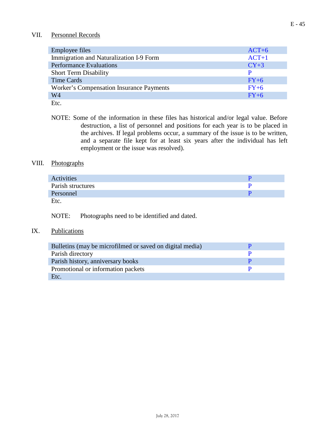#### VII. Personnel Records

| <b>Employee files</b>                    | $ACT+6$ |
|------------------------------------------|---------|
| Immigration and Naturalization I-9 Form  | $ACT+1$ |
| <b>Performance Evaluations</b>           | $CY+3$  |
| <b>Short Term Disability</b>             | P       |
| Time Cards                               | $FY+6$  |
| Worker's Compensation Insurance Payments | $FY+6$  |
| W4                                       | $FY+6$  |
| Etc.                                     |         |

NOTE: Some of the information in these files has historical and/or legal value. Before destruction, a list of personnel and positions for each year is to be placed in the archives. If legal problems occur, a summary of the issue is to be written, and a separate file kept for at least six years after the individual has left employment or the issue was resolved).

#### VIII. Photographs

| Activities        |  |
|-------------------|--|
| Parish structures |  |
| Personnel         |  |
| Etc.              |  |

NOTE: Photographs need to be identified and dated.

#### IX. Publications

| Bulletins (may be microfilmed or saved on digital media) |  |
|----------------------------------------------------------|--|
| Parish directory                                         |  |
| Parish history, anniversary books                        |  |
| Promotional or information packets                       |  |
| Etc.                                                     |  |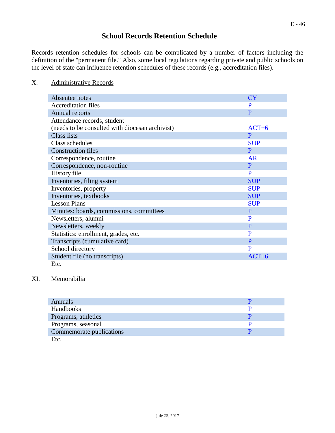### **School Records Retention Schedule**

<span id="page-45-0"></span>Records retention schedules for schools can be complicated by a number of factors including the definition of the "permanent file." Also, some local regulations regarding private and public schools on the level of state can influence retention schedules of these records (e.g., accreditation files).

#### X. Administrative Records

| Absentee notes                                  | CY         |
|-------------------------------------------------|------------|
| <b>Accreditation files</b>                      | P          |
| Annual reports                                  | P          |
| Attendance records, student                     |            |
| (needs to be consulted with diocesan archivist) | $ACT+6$    |
| <b>Class lists</b>                              | P          |
| Class schedules                                 | <b>SUP</b> |
| <b>Construction files</b>                       | P          |
| Correspondence, routine                         | AR         |
| Correspondence, non-routine                     | P          |
| History file                                    | P          |
| Inventories, filing system                      | <b>SUP</b> |
| Inventories, property                           | <b>SUP</b> |
| Inventories, textbooks                          | <b>SUP</b> |
| <b>Lesson Plans</b>                             | <b>SUP</b> |
| Minutes: boards, commissions, committees        | P          |
| Newsletters, alumni                             | P          |
| Newsletters, weekly                             | P          |
| Statistics: enrollment, grades, etc.            | P          |
| Transcripts (cumulative card)                   | P          |
| School directory                                | P          |
| Student file (no transcripts)                   | $ACT+6$    |
| Etc.                                            |            |

#### XI. Memorabilia

| <b>Annuals</b>           |  |
|--------------------------|--|
| Handbooks                |  |
| Programs, athletics      |  |
| Programs, seasonal       |  |
| Commemorate publications |  |
| Etc.                     |  |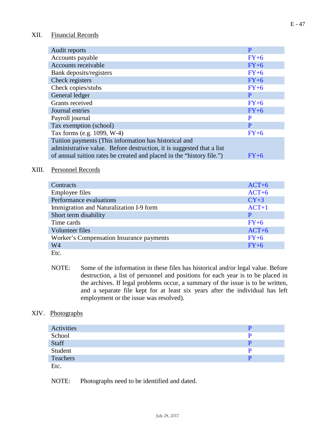#### XII. Financial Records

| Audit reports                                                         | P      |
|-----------------------------------------------------------------------|--------|
| Accounts payable                                                      | $FY+6$ |
| Accounts receivable                                                   | $FY+6$ |
| Bank deposits/registers                                               | $FY+6$ |
| Check registers                                                       | $FY+6$ |
| Check copies/stubs                                                    | $FY+6$ |
| General ledger                                                        | P      |
| Grants received                                                       | $FY+6$ |
| Journal entries                                                       | $FY+6$ |
| Payroll journal                                                       | P      |
| Tax exemption (school)                                                | P      |
| Tax forms (e.g. 1099, W-4)                                            | $FY+6$ |
| Tuition payments (This information has historical and                 |        |
| administrative value. Before destruction, it is suggested that a list |        |
| of annual tuition rates be created and placed in the "history file.") | $FY+6$ |

#### XIII. Personnel Records

| Contracts                                | $ACT+6$ |
|------------------------------------------|---------|
| <b>Employee files</b>                    | $ACT+6$ |
| Performance evaluations                  | $CY+3$  |
| Immigration and Naturalization I-9 form  | $ACT+1$ |
| Short term disability                    | P       |
| Time cards                               | $FY+6$  |
| Volunteer files                          | $ACT+6$ |
| Worker's Compensation Insurance payments | $FY+6$  |
| W <sub>4</sub>                           | $FY+6$  |
| Etc.                                     |         |

NOTE: Some of the information in these files has historical and/or legal value. Before destruction, a list of personnel and positions for each year is to be placed in the archives. If legal problems occur, a summary of the issue is to be written, and a separate file kept for at least six years after the individual has left employment or the issue was resolved).

#### XIV. Photographs

| Activities |  |
|------------|--|
| School     |  |
| Staff      |  |
| Student    |  |
| Teachers   |  |
| Etc.       |  |

NOTE: Photographs need to be identified and dated.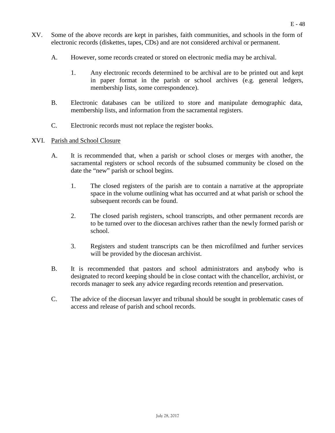- XV. Some of the above records are kept in parishes, faith communities, and schools in the form of electronic records (diskettes, tapes, CDs) and are not considered archival or permanent.
	- A. However, some records created or stored on electronic media may be archival.
		- 1. Any electronic records determined to be archival are to be printed out and kept in paper format in the parish or school archives (e.g. general ledgers, membership lists, some correspondence).
	- B. Electronic databases can be utilized to store and manipulate demographic data, membership lists, and information from the sacramental registers.
	- C. Electronic records must not replace the register books.

#### <span id="page-47-0"></span>XVI. Parish and School Closure

- A. It is recommended that, when a parish or school closes or merges with another, the sacramental registers or school records of the subsumed community be closed on the date the "new" parish or school begins.
	- 1. The closed registers of the parish are to contain a narrative at the appropriate space in the volume outlining what has occurred and at what parish or school the subsequent records can be found.
	- 2. The closed parish registers, school transcripts, and other permanent records are to be turned over to the diocesan archives rather than the newly formed parish or school.
	- 3. Registers and student transcripts can be then microfilmed and further services will be provided by the diocesan archivist.
- B. It is recommended that pastors and school administrators and anybody who is designated to record keeping should be in close contact with the chancellor, archivist, or records manager to seek any advice regarding records retention and preservation.
- C. The advice of the diocesan lawyer and tribunal should be sought in problematic cases of access and release of parish and school records.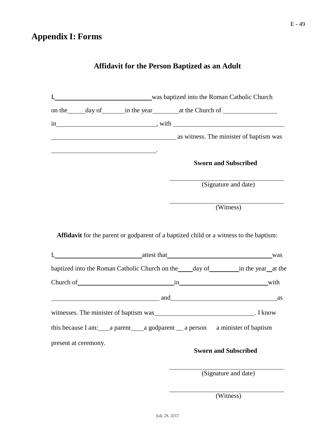# **Affidavit for the Person Baptized as an Adult**

<span id="page-48-0"></span>

|                      | I, was baptized into the Roman Catholic Church                                                                                                                                                                                 |  |                               |                             |  |
|----------------------|--------------------------------------------------------------------------------------------------------------------------------------------------------------------------------------------------------------------------------|--|-------------------------------|-----------------------------|--|
|                      |                                                                                                                                                                                                                                |  |                               |                             |  |
|                      |                                                                                                                                                                                                                                |  |                               |                             |  |
|                      | as witness. The minister of baptism was                                                                                                                                                                                        |  |                               |                             |  |
|                      |                                                                                                                                                                                                                                |  |                               | <b>Sworn and Subscribed</b> |  |
|                      |                                                                                                                                                                                                                                |  |                               | (Signature and date)        |  |
|                      |                                                                                                                                                                                                                                |  | $\overline{\text{(Witness)}}$ |                             |  |
|                      | Affidavit for the parent or godparent of a baptized child or a witness to the baptism:<br>I, was attest that was was<br>baptized into the Roman Catholic Church on the ______ day of ___________ in the year__at the           |  |                               |                             |  |
|                      | Church of with with with the contract of with with with with with with the contract of the contract of the contract of the contract of the contract of the contract of the contract of the contract of the contract of the con |  |                               |                             |  |
|                      | and as a series are a series of the series of the series and series are series as a series of the series of the series of the series of the series of the series of the series of the series of the series of the series of th |  |                               |                             |  |
|                      | witnesses. The minister of baptism was Theory of the U.S. I know                                                                                                                                                               |  |                               |                             |  |
|                      | this because I am: _____ a parent ______ a godparent _____ a person a minister of baptism                                                                                                                                      |  |                               |                             |  |
| present at ceremony. |                                                                                                                                                                                                                                |  |                               | <b>Sworn and Subscribed</b> |  |
|                      |                                                                                                                                                                                                                                |  | (Signature and date)          |                             |  |

(Witness)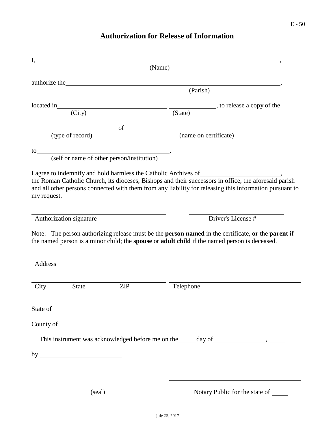# **Authorization for Release of Information**

<span id="page-49-0"></span>

|                                                                                                                                                                                                                                                      |     | (Name)                                               |                                                                                                       |
|------------------------------------------------------------------------------------------------------------------------------------------------------------------------------------------------------------------------------------------------------|-----|------------------------------------------------------|-------------------------------------------------------------------------------------------------------|
| authorize the <b>Exercise 2018</b>                                                                                                                                                                                                                   |     |                                                      |                                                                                                       |
|                                                                                                                                                                                                                                                      |     | (Parish)                                             |                                                                                                       |
| located in                                                                                                                                                                                                                                           |     |                                                      |                                                                                                       |
| (City)                                                                                                                                                                                                                                               |     | (State)                                              |                                                                                                       |
|                                                                                                                                                                                                                                                      |     | $\overline{\phantom{a}}$ of $\overline{\phantom{a}}$ |                                                                                                       |
| (type of record)                                                                                                                                                                                                                                     |     |                                                      | (name on certificate)                                                                                 |
| to $\overline{\phantom{a}}$<br>(self or name of other person/institution)                                                                                                                                                                            |     |                                                      |                                                                                                       |
|                                                                                                                                                                                                                                                      |     |                                                      |                                                                                                       |
| I agree to indemnify and hold harmless the Catholic Archives of                                                                                                                                                                                      |     |                                                      | the Roman Catholic Church, its dioceses, Bishops and their successors in office, the aforesaid parish |
| and all other persons connected with them from any liability for releasing this information pursuant to                                                                                                                                              |     |                                                      |                                                                                                       |
| my request.                                                                                                                                                                                                                                          |     |                                                      |                                                                                                       |
|                                                                                                                                                                                                                                                      |     |                                                      | Driver's License #                                                                                    |
| Authorization signature                                                                                                                                                                                                                              |     |                                                      |                                                                                                       |
|                                                                                                                                                                                                                                                      |     |                                                      |                                                                                                       |
|                                                                                                                                                                                                                                                      |     |                                                      |                                                                                                       |
|                                                                                                                                                                                                                                                      |     |                                                      |                                                                                                       |
|                                                                                                                                                                                                                                                      |     |                                                      |                                                                                                       |
| Note: The person authorizing release must be the <b>person named</b> in the certificate, or the <b>parent</b> if<br>the named person is a minor child; the spouse or adult child if the named person is deceased.<br>Address<br><b>State</b><br>City | ZIP | Telephone                                            |                                                                                                       |
|                                                                                                                                                                                                                                                      |     |                                                      |                                                                                                       |
|                                                                                                                                                                                                                                                      |     |                                                      |                                                                                                       |
|                                                                                                                                                                                                                                                      |     |                                                      |                                                                                                       |
|                                                                                                                                                                                                                                                      |     |                                                      |                                                                                                       |
| State of<br>County of $\qquad \qquad$                                                                                                                                                                                                                |     |                                                      |                                                                                                       |
|                                                                                                                                                                                                                                                      |     |                                                      |                                                                                                       |
|                                                                                                                                                                                                                                                      |     |                                                      |                                                                                                       |
|                                                                                                                                                                                                                                                      |     |                                                      |                                                                                                       |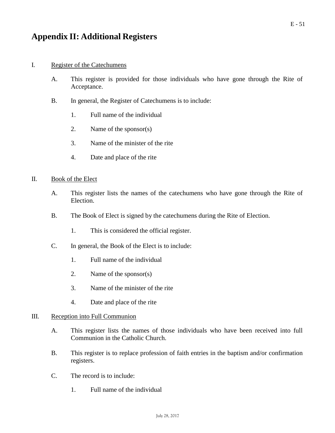### <span id="page-50-0"></span>**Appendix II: Additional Registers**

#### I. Register of the Catechumens

- A. This register is provided for those individuals who have gone through the Rite of Acceptance.
- B. In general, the Register of Catechumens is to include:
	- 1. Full name of the individual
	- 2. Name of the sponsor(s)
	- 3. Name of the minister of the rite
	- 4. Date and place of the rite

#### II. Book of the Elect

- A. This register lists the names of the catechumens who have gone through the Rite of Election.
- B. The Book of Elect is signed by the catechumens during the Rite of Election.
	- 1. This is considered the official register.
- C. In general, the Book of the Elect is to include:
	- 1. Full name of the individual
	- 2. Name of the sponsor(s)
	- 3. Name of the minister of the rite
	- 4. Date and place of the rite

#### III. Reception into Full Communion

- A. This register lists the names of those individuals who have been received into full Communion in the Catholic Church.
- B. This register is to replace profession of faith entries in the baptism and/or confirmation registers.
- C. The record is to include:
	- 1. Full name of the individual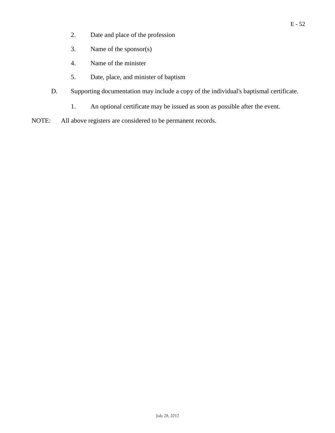- 2. Date and place of the profession
- 3. Name of the sponsor(s)
- 4. Name of the minister
- 5. Date, place, and minister of baptism
- D. Supporting documentation may include a copy of the individual's baptismal certificate.
	- 1. An optional certificate may be issued as soon as possible after the event.
- NOTE: All above registers are considered to be permanent records.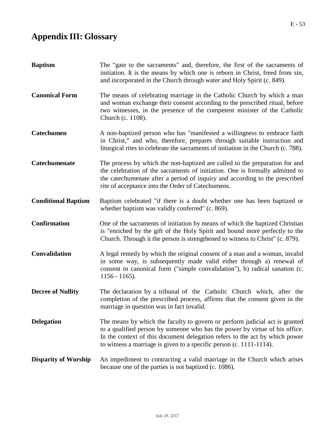# <span id="page-52-0"></span>**Appendix III: Glossary**

| <b>Baptism</b>              | The "gate to the sacraments" and, therefore, the first of the sacraments of<br>initiation. It is the means by which one is reborn in Christ, freed from sin,<br>and incorporated in the Church through water and Holy Spirit (c. 849).                                                                           |
|-----------------------------|------------------------------------------------------------------------------------------------------------------------------------------------------------------------------------------------------------------------------------------------------------------------------------------------------------------|
| <b>Canonical Form</b>       | The means of celebrating marriage in the Catholic Church by which a man<br>and woman exchange their consent according to the prescribed ritual, before<br>two witnesses, in the presence of the competent minister of the Catholic<br>Church (c. 1108).                                                          |
| <b>Catechumen</b>           | A non-baptized person who has "manifested a willingness to embrace faith<br>in Christ," and who, therefore, prepares through suitable instruction and<br>liturgical rites to celebrate the sacraments of initiation in the Church (c. 788).                                                                      |
| Catechumenate               | The process by which the non-baptized are called to the preparation for and<br>the celebration of the sacraments of initiation. One is formally admitted to<br>the catechumenate after a period of inquiry and according to the prescribed<br>rite of acceptance into the Order of Catechumens.                  |
| <b>Conditional Baptism</b>  | Baptism celebrated "if there is a doubt whether one has been baptized or<br>whether baptism was validly conferred" (c. 869).                                                                                                                                                                                     |
| <b>Confirmation</b>         | One of the sacraments of initiation by means of which the baptized Christian<br>is "enriched by the gift of the Holy Spirit and bound more perfectly to the<br>Church. Through it the person is strengthened to witness to Christ" (c. 879).                                                                     |
| <b>Convalidation</b>        | A legal remedy by which the original consent of a man and a woman, invalid<br>in some way, is subsequently made valid either through a) renewal of<br>consent in canonical form ("simple convalidation"), b) radical sanation (c.<br>$1156 - 1165$ ).                                                            |
| <b>Decree of Nullity</b>    | The declaration by a tribunal of the Catholic Church which, after the<br>completion of the prescribed process, affirms that the consent given in the<br>marriage in question was in fact invalid.                                                                                                                |
| <b>Delegation</b>           | The means by which the faculty to govern or perform judicial act is granted<br>to a qualified person by someone who has the power by virtue of his office.<br>In the context of this document delegation refers to the act by which power<br>to witness a marriage is given to a specific person (c. 1111-1114). |
| <b>Disparity of Worship</b> | An impediment to contracting a valid marriage in the Church which arises<br>because one of the parties is not baptized (c. 1086).                                                                                                                                                                                |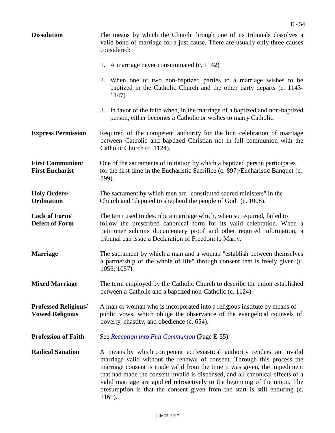| <b>Dissolution</b>                                    | The means by which the Church through one of its tribunals dissolves a<br>valid bond of marriage for a just cause. There are usually only three causes<br>considered:                                                                                                                                                                                                                                                                                                                   |
|-------------------------------------------------------|-----------------------------------------------------------------------------------------------------------------------------------------------------------------------------------------------------------------------------------------------------------------------------------------------------------------------------------------------------------------------------------------------------------------------------------------------------------------------------------------|
|                                                       | 1. A marriage never consummated (c. 1142)                                                                                                                                                                                                                                                                                                                                                                                                                                               |
|                                                       | 2. When one of two non-baptized parties to a marriage wishes to be<br>baptized in the Catholic Church and the other party departs (c. 1143-<br>1147)                                                                                                                                                                                                                                                                                                                                    |
|                                                       | 3. In favor of the faith when, in the marriage of a baptized and non-baptized<br>person, either becomes a Catholic or wishes to marry Catholic.                                                                                                                                                                                                                                                                                                                                         |
| <b>Express Permission</b>                             | Required of the competent authority for the licit celebration of marriage<br>between Catholic and baptized Christian not in full communion with the<br>Catholic Church (c. 1124).                                                                                                                                                                                                                                                                                                       |
| <b>First Communion/</b><br><b>First Eucharist</b>     | One of the sacraments of initiation by which a baptized person participates<br>for the first time in the Eucharistic Sacrifice (c. 897)/Eucharistic Banquet (c.<br>899).                                                                                                                                                                                                                                                                                                                |
| <b>Holy Orders/</b><br>Ordination                     | The sacrament by which men are "constituted sacred ministers" in the<br>Church and "deputed to shepherd the people of God" (c. 1008).                                                                                                                                                                                                                                                                                                                                                   |
| Lack of Form/<br><b>Defect of Form</b>                | The term used to describe a marriage which, when so required, failed to<br>follow the prescribed canonical form for its valid celebration. When a<br>petitioner submits documentary proof and other required information, a<br>tribunal can issue a Declaration of Freedom to Marry.                                                                                                                                                                                                    |
| <b>Marriage</b>                                       | The sacrament by which a man and a woman "establish between themselves"<br>a partnership of the whole of life" through consent that is freely given (c.<br>$1055; 1057$ ).                                                                                                                                                                                                                                                                                                              |
| <b>Mixed Marriage</b>                                 | The term employed by the Catholic Church to describe the union established<br>between a Catholic and a baptized non-Catholic (c. 1124).                                                                                                                                                                                                                                                                                                                                                 |
| <b>Professed Religious/</b><br><b>Vowed Religious</b> | A man or woman who is incorporated into a religious institute by means of<br>public vows, which oblige the observance of the evangelical counsels of<br>poverty, chastity, and obedience (c. 654).                                                                                                                                                                                                                                                                                      |
| <b>Profession of Faith</b>                            | See Reception into Full Communion (Page E-55).                                                                                                                                                                                                                                                                                                                                                                                                                                          |
| <b>Radical Sanation</b>                               | A means by which competent ecclesiastical authority renders an invalid<br>marriage valid without the renewal of consent. Through this process the<br>marriage consent is made valid from the time it was given, the impediment<br>that had made the consent invalid is dispensed, and all canonical effects of a<br>valid marriage are applied retroactively to the beginning of the union. The<br>presumption is that the consent given from the start is still enduring (c.<br>1161). |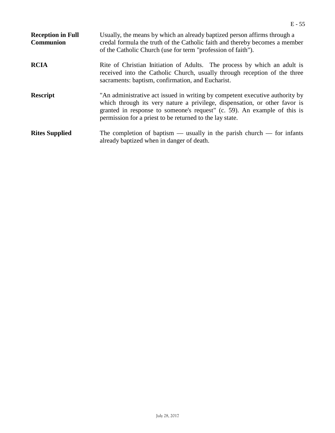<span id="page-54-0"></span>

| <b>Reception in Full</b><br><b>Communion</b> | Usually, the means by which an already baptized person affirms through a<br>credal formula the truth of the Catholic faith and thereby becomes a member<br>of the Catholic Church (use for term "profession of faith").                                                                            |
|----------------------------------------------|----------------------------------------------------------------------------------------------------------------------------------------------------------------------------------------------------------------------------------------------------------------------------------------------------|
| <b>RCIA</b>                                  | Rite of Christian Initiation of Adults. The process by which an adult is<br>received into the Catholic Church, usually through reception of the three<br>sacraments: baptism, confirmation, and Eucharist.                                                                                         |
| <b>Rescript</b>                              | "An administrative act issued in writing by competent executive authority by<br>which through its very nature a privilege, dispensation, or other favor is<br>granted in response to someone's request" (c. 59). An example of this is<br>permission for a priest to be returned to the lay state. |
| <b>Rites Supplied</b>                        | The completion of baptism — usually in the parish church — for infants<br>already baptized when in danger of death.                                                                                                                                                                                |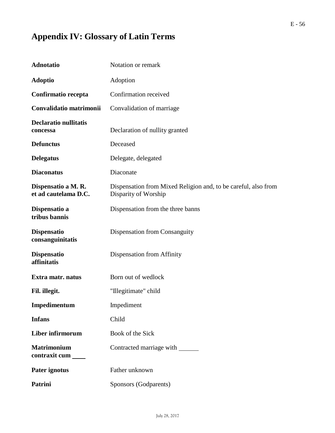# **Appendix IV: Glossary of Latin Terms**

| <b>Adnotatio</b>                            | Notation or remark                                                                     |
|---------------------------------------------|----------------------------------------------------------------------------------------|
| <b>Adoptio</b>                              | Adoption                                                                               |
| Confirmatio recepta                         | Confirmation received                                                                  |
| Convalidatio matrimonii                     | Convalidation of marriage                                                              |
| <b>Declaratio nullitatis</b><br>concessa    | Declaration of nullity granted                                                         |
| <b>Defunctus</b>                            | Deceased                                                                               |
| <b>Delegatus</b>                            | Delegate, delegated                                                                    |
| <b>Diaconatus</b>                           | Diaconate                                                                              |
| Dispensatio a M. R.<br>et ad cautelama D.C. | Dispensation from Mixed Religion and, to be careful, also from<br>Disparity of Worship |
| Dispensatio a<br>tribus bannis              | Dispensation from the three banns                                                      |
| <b>Dispensatio</b><br>consanguinitatis      | Dispensation from Consanguity                                                          |
| <b>Dispensatio</b><br>affinitatis           | Dispensation from Affinity                                                             |
| Extra matr. natus                           | Born out of wedlock                                                                    |
| Fil. illegit.                               | "Illegitimate" child                                                                   |
| Impedimentum                                | Impediment                                                                             |
| <b>Infans</b>                               | Child                                                                                  |
| Liber infirmorum                            | Book of the Sick                                                                       |
| <b>Matrimonium</b><br>contraxit cum         | Contracted marriage with _______                                                       |
| Pater ignotus                               | Father unknown                                                                         |
| <b>Patrini</b>                              | Sponsors (Godparents)                                                                  |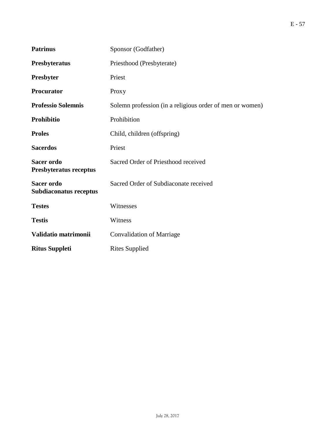| <b>Patrinus</b>                             | Sponsor (Godfather)                                      |
|---------------------------------------------|----------------------------------------------------------|
| Presbyteratus                               | Priesthood (Presbyterate)                                |
| Presbyter                                   | Priest                                                   |
| <b>Procurator</b>                           | Proxy                                                    |
| <b>Professio Solemnis</b>                   | Solemn profession (in a religious order of men or women) |
| <b>Prohibitio</b>                           | Prohibition                                              |
| <b>Proles</b>                               | Child, children (offspring)                              |
| <b>Sacerdos</b>                             | Priest                                                   |
| <b>Sacer ordo</b><br>Presbyteratus receptus | Sacred Order of Priesthood received                      |
| <b>Sacer ordo</b><br>Subdiaconatus receptus | Sacred Order of Subdiaconate received                    |
| <b>Testes</b>                               | Witnesses                                                |
| <b>Testis</b>                               | Witness                                                  |
| Validatio matrimonii                        | <b>Convalidation of Marriage</b>                         |
| <b>Ritus Suppleti</b>                       | <b>Rites Supplied</b>                                    |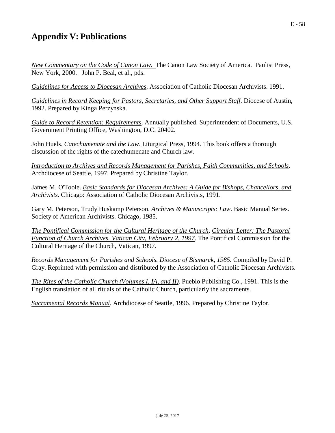# **Appendix V: Publications**

*New Commentary on the Code of Canon Law.* The Canon Law Society of America. Paulist Press, New York, 2000. John P. Beal, et al., pds.

*Guidelines for Access to Diocesan Archives*. Association of Catholic Diocesan Archivists. 1991.

*Guidelines in Record Keeping for Pastors, Secretaries, and Other Support Staff*. Diocese of Austin, 1992. Prepared by Kinga Perzynska.

*Guide to Record Retention: Requirements*. Annually published. Superintendent of Documents, U.S. Government Printing Office, Washington, D.C. 20402.

John Huels. *Catechumenate and the Law*. Liturgical Press, 1994. This book offers a thorough discussion of the rights of the catechumenate and Church law.

*Introduction to Archives and Records Management for Parishes, Faith Communities, and Schools*. Archdiocese of Seattle, 1997. Prepared by Christine Taylor.

James M. O'Toole. *Basic Standards for Diocesan Archives: A Guide for Bishops, Chancellors, and Archivists*. Chicago: Association of Catholic Diocesan Archivists, 1991.

Gary M. Peterson, Trudy Huskamp Peterson. *Archives & Manuscripts: Law*. Basic Manual Series. Society of American Archivists. Chicago, 1985.

*The Pontifical Commission for the Cultural Heritage of the Church*. *Circular Letter: The Pastoral Function of Church Archives. Vatican City, February 2, 1997*. The Pontifical Commission for the Cultural Heritage of the Church, Vatican, 1997.

*Records Management for Parishes and Schools. Diocese of Bismarck, 1985.* Compiled by David P. Gray. Reprinted with permission and distributed by the Association of Catholic Diocesan Archivists.

*The Rites of the Catholic Church (Volumes I, IA, and II)*. Pueblo Publishing Co., 1991. This is the English translation of all rituals of the Catholic Church, particularly the sacraments.

*Sacramental Records Manual*. Archdiocese of Seattle, 1996. Prepared by Christine Taylor.